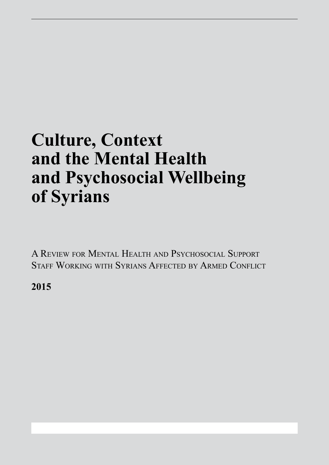# **Culture, Context and the Mental Health and Psychosocial Wellbeing of Syrians**

A Review for Mental Health and Psychosocial Support Staff Working with Syrians Affected by Armed Conflict

**2015**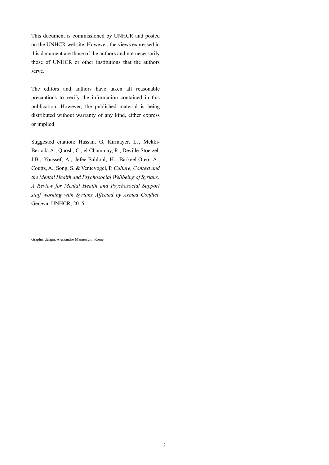This document is commissioned by UNHCR and posted on the UNHCR website. However, the views expressed in this document are those of the authors and not necessarily those of UNHCR or other institutions that the authors serve.

The editors and authors have taken all reasonable precautions to verify the information contained in this publication. However, the published material is being distributed without warranty of any kind, either express or implied.

Suggested citation: Hassan, G, Kirmayer, LJ, Mekki-Berrada A., Quosh, C., el Chammay, R., Deville-Stoetzel, J.B., Youssef, A., Jefee-Bahloul, H., Barkeel-Oteo, A., Coutts, A., Song, S. & Ventevogel, P. *Culture, Context and the Mental Health and Psychosocial Wellbeing of Syrians: A Review for Mental Health and Psychosocial Support staff working with Syrians Affected by Armed Conflict*. Geneva: UNHCR, 2015

Graphic design: Alessandro Mannocchi, Rome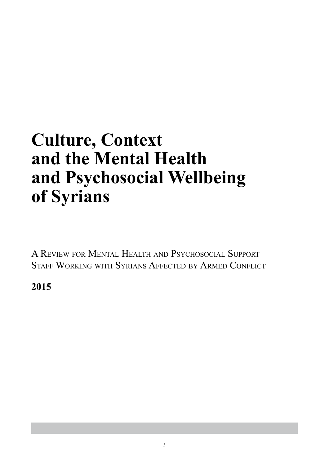# **Culture, Context and the Mental Health and Psychosocial Wellbeing of Syrians**

A Review for Mental Health and Psychosocial Support Staff Working with Syrians Affected by Armed Conflict

**2015**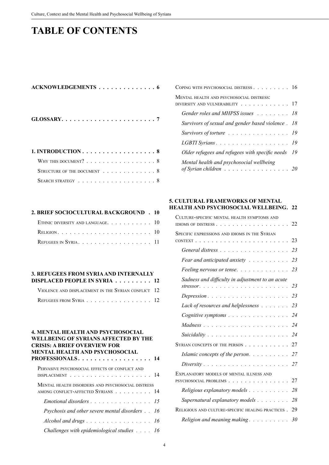# **TABLE OF CONTENTS**

| ACKNOWLEDGEMENTS6                                      |  |  |  |  |  |
|--------------------------------------------------------|--|--|--|--|--|
|                                                        |  |  |  |  |  |
| $1. INTRODUCTION \ldots \ldots \ldots \ldots \ldots 8$ |  |  |  |  |  |
| WHY THIS DOCUMENT? 8                                   |  |  |  |  |  |
| STRUCTURE OF THE DOCUMENT 8                            |  |  |  |  |  |

| 2. BRIEF SOCIOCULTURAL BACKGROUND . 10 |  |
|----------------------------------------|--|
| ETHNIC DIVERSITY AND LANGUAGE. 10      |  |
|                                        |  |
|                                        |  |

Search strategy 8

| 3. REFUGEES FROM SYRIA AND INTERNALLY |  |
|---------------------------------------|--|
| DISPLACED PEOPLE IN SYRIA 12          |  |

| VIOLENCE AND DISPLACEMENT IN THE SYRIAN CONFLICT 12 |  |
|-----------------------------------------------------|--|
| REFUGEES FROM SYRIA 12                              |  |

### **4. MENTAL HEALTH AND PSYCHOSOCIAL WELLBEING OF SYRIANS AFFECTED BY THE CRISIS: A BRIEF OVERVIEW FOR MENTAL HEALTH AND PSYCHOSOCIAL PROFESSIONALS . . . . . . . . . . . . . . . . . .14** Pervasive psychosocial effects of conflict and displacement 14

| MENTAL HEALTH DISORDERS AND PSYCHOSOCIAL DISTRESS   |  |
|-----------------------------------------------------|--|
| AMONG CONFLICT-AFFECTED SYRIANS 14                  |  |
| Emotional disorders 15                              |  |
| Psychosis and other severe mental disorders 16      |  |
| Alcohol and drugs 16                                |  |
| Challenges with epidemiological studies $\ldots$ 16 |  |

| COPING WITH PSYCHOSOCIAL DISTRESS $\ldots \ldots \ldots \ldots \; 16$                                           |    |
|-----------------------------------------------------------------------------------------------------------------|----|
| MENTAL HEALTH AND PSYCHOSOCIAL DISTRESS:<br>DIVERSITY AND VULNERABILITY $\ldots \ldots \ldots \ldots \ldots 17$ |    |
| Gender roles and MHPSS issues 18                                                                                |    |
| Survivors of sexual and gender based violence. 18                                                               |    |
| Survivors of torture $\ldots \ldots \ldots \ldots \ldots$                                                       |    |
| $LGBTI$ Syrians $\ldots \ldots \ldots \ldots \ldots \ldots \ldots$                                              |    |
| Older refugees and refugees with specific needs                                                                 | 19 |
| Mental health and psychosocial wellbeing<br>of Syrian children $\ldots$                                         |    |

#### **5. CULTURAL FRAMEWORKS OF MENTAL HEALTH AND PSYCHOSOCIAL WELLBEING. 22**

| CULTURE-SPECIFIC MENTAL HEALTH SYMPTOMS AND<br>IDIOMS OF DISTRESS. | 22 |
|--------------------------------------------------------------------|----|
| SPECIFIC EXPRESSIONS AND IDIOMS IN THE SYRIAN<br>CONTEXT           | 23 |
| General distress                                                   | 23 |
| Fear and anticipated anxiety                                       | 23 |
| Feeling nervous or tense.                                          | 23 |
| Sadness and difficulty in adjustment to an acute<br>stressor.      | 23 |
| $Depression \dots \dots \dots \dots \dots \dots \dots$             | 23 |
| Lack of resources and helplessness                                 | 23 |
| Cognitive symptoms                                                 | 24 |
| $Madness$                                                          | 24 |
|                                                                    | 24 |
| SYRIAN CONCEPTS OF THE PERSON $\ldots$                             | 27 |
| Islamic concepts of the person.                                    | 27 |
| $Diversity \dots \dots \dots \dots \dots \dots \dots \dots$        | 27 |
| EXPLANATORY MODELS OF MENTAL ILLNESS AND<br>PSYCHOSOCIAL PROBLEMS. | 27 |
| Religious explanatory models                                       | 28 |
| Supernatural explanatory models                                    | 28 |
| RELIGIOUS AND CULTURE-SPECIFIC HEALING PRACTICES.                  | 29 |
| Religion and meaning making                                        | 30 |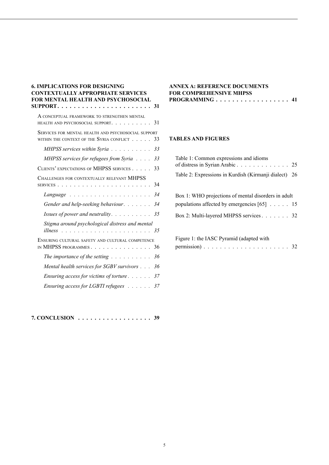| <b>6. IMPLICATIONS FOR DESIGNING</b><br><b>CONTEXTUALLY APPROPRIATE SERVICES</b><br>FOR MENTAL HEALTH AND PSYCHOSOCIAL |    |
|------------------------------------------------------------------------------------------------------------------------|----|
|                                                                                                                        | 31 |
| A CONCEPTUAL FRAMEWORK TO STRENGTHEN MENTAL<br>HEALTH AND PSYCHOSOCIAL SUPPORT.                                        | 31 |
| SERVICES FOR MENTAL HEALTH AND PSYCHOSOCIAL SUPPORT<br>WITHIN THE CONTEXT OF THE SYRIA CONFLICT                        | 33 |
| MHPSS services within Syria                                                                                            | 33 |
| MHPSS services for refugees from Syria                                                                                 | 33 |
| CLIENTS' EXPECTATIONS OF MHPSS SERVICES                                                                                | 33 |
| CHALLENGES FOR CONTEXTUALLY RELEVANT MHPSS<br><b>SERVICES</b> .                                                        | 34 |
| $Language \dots \dots \dots \dots \dots$                                                                               | 34 |
| Gender and help-seeking behaviour.                                                                                     | 34 |
| <i>Issues of power and neutrality.</i> $\ldots \ldots \ldots \ldots 35$                                                |    |
| Stigma around psychological distress and mental<br>illness<br>$\frac{35}{2}$<br>.                                      |    |
| ENSURING CULTURAL SAFETY AND CULTURAL COMPETENCE<br>IN MHPSS PROGRAMMES.                                               | 36 |
| The importance of the setting $\ldots \ldots \ldots 36$                                                                |    |
| Mental health services for SGBV survivors 36                                                                           |    |
| Ensuring access for victims of torture 37                                                                              |    |
| Ensuring access for LGBTI refugees 37                                                                                  |    |

| $7. CONCLUSION \ldots \ldots \ldots \ldots \ldots 39$ |  |  |  |  |  |  |  |  |  |  |  |  |  |  |  |  |  |  |
|-------------------------------------------------------|--|--|--|--|--|--|--|--|--|--|--|--|--|--|--|--|--|--|
|-------------------------------------------------------|--|--|--|--|--|--|--|--|--|--|--|--|--|--|--|--|--|--|

### **Annex A: Reference documents for comprehensive MHPSS PROGRAMMING . . . . . . . . . . . . . . . . . . 41**

### **Tables and figures**

| Table 1: Common expressions and idioms                |  |
|-------------------------------------------------------|--|
| Table 2: Expressions in Kurdish (Kirmanji dialect) 26 |  |
|                                                       |  |
| Box 1: WHO projections of mental disorders in adult   |  |
| populations affected by emergencies $[65]$ 15         |  |
| Box 2: Multi-layered MHPSS services 32                |  |
|                                                       |  |
| Figure 1: the IASC Pyramid (adapted with              |  |

| $\ldots$ |  |  |  |  |  |  |  |  |  |  |  |
|----------|--|--|--|--|--|--|--|--|--|--|--|
|          |  |  |  |  |  |  |  |  |  |  |  |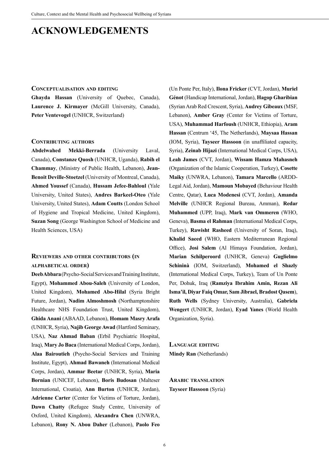# **Acknowledgements**

#### **Conceptualisation and editing**

**Ghayda Hassan** (University of Quebec, Canada), Laurence J. Kirmayer (McGill University, Canada), **Peter Ventevogel** (UNHCR, Switzerland)

#### **Contributing authors**

**Abdelwahed Mekki-Berrada** (University Laval, Canada), **Constanze Quosh** (UNHCR, Uganda), **Rabih el Chammay**, (Ministry of Public Health, Lebanon), **Jean-Benoit Deville-Stoetzel** (University of Montreal, Canada), **Ahmed Youssef** (Canada), **Hussam Jefee-Bahloul** (Yale University, United States), **Andres Barkeel-Oteo** (Yale University, United States), **Adam Coutts** (London School of Hygiene and Tropical Medicine, United Kingdom), **Suzan Song** (George Washington School of Medicine and Health Sciences, USA)

# **Reviewers and other contributors (in alphabetical order)**

**Deeb Abbara** (Psycho-Social Services and Training Institute, Egypt), **Mohammed Abou-Saleh** (University of London, United Kingdom), **Mohamed Abo-Hilal** (Syria Bright Future, Jordan), **Nadim Almoshmosh** (Northamptonshire Healthcare NHS Foundation Trust, United Kingdom), **Ghida Anani** (ABAAD, Lebanon), **Homam Masry Arafa** (UNHCR, Syria), **Najib George Awad** (Hartford Seminary, USA), **Naz Ahmad Baban** (Erbil Psychiatric Hospital, Iraq), **Mary Jo Baca** (International Medical Corps, Jordan), **Alaa Bairoutieh** (Psycho-Social Services and Training Institute, Egypt), **Ahmad Bawaneh** (International Medical Corps, Jordan), **Ammar Beetar** (UNHCR, Syria), **Maria Bornian** (UNICEF, Lebanon), **Boris Budosan** (Malteser International, Croatia), **Ann Burton** (UNHCR, Jordan), **Adrienne Carter** (Center for Victims of Torture, Jordan), **Dawn Chatty** (Refugee Study Centre, University of Oxford, United Kingdom), **Alexandra Chen** (UNWRA, Lebanon), **Rony N. Abou Daher** (Lebanon), **Paolo Feo**

(Un Ponte Per, Italy), **Ilona Fricker** (CVT, Jordan), **Muriel Génot** (Handicap International, Jordan), **Hagop Gharibian** (Syrian Arab Red Crescent, Syria), **Audrey Gibeaux** (MSF, Lebanon), **Amber Gray** (Center for Victims of Torture, USA), **Muhammad Harfoush** (UNHCR, Ethiopia), **Aram Hassan** (Centrum '45, The Netherlands), **Maysaa Hassan** (IOM, Syria), **Tayseer Hassoon** (in unaffiliated capacity, Syria), **Zeinab Hijazi** (International Medical Corps, USA), **Leah James** (CVT, Jordan), **Wissam Hamza Mahasneh** (Organization of the Islamic Cooperation, Turkey), **Cosette Maiky** (UNWRA, Lebanon), **Tamara Marcello** (ARDD-Legal Aid, Jordan), **Mamoun Mobayed** (Behaviour Health Centre, Qatar), **Luca Modenesi** (CVT, Jordan), **Amanda Melville** (UNHCR Regional Bureau, Amman), **Redar Muhammed** (UPP, Iraq), **Mark van Ommeren** (WHO, Geneva), **Basma el Rahman** (International Medical Corps, Turkey), **Rawisht Rasheed** (University of Soran, Iraq), **Khalid Saeed** (WHO, Eastern Mediterranean Regional Office), **Josi Salem** (Al Himaya Foundation, Jordan), **Marian Schilperoord** (UNHCR, Geneva) **Guglielmo Schininà** (IOM, Switzerland), **Mohamed el Shazly** (International Medical Corps, Turkey), Team of Un Ponte Per, Dohuk, Iraq (**Ramziya Ibrahim Amin, Rezan Ali Isma'il, Diyar Faiq Omar, Sam Jibrael, Bradost Qasem**), **Ruth Wells** (Sydney University, Australia), **Gabriela Wengert** (UNHCR, Jordan), **Eyad Yanes** (World Health Organization, Syria).

**Language editing Mindy Ran** (Netherlands)

**Arabic translation Tayseer Hassoon** (Syria)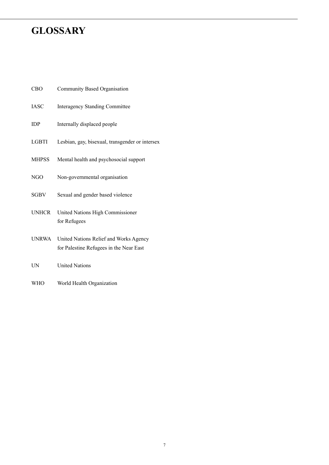# **GLOSSARY**

| CBO          | Community Based Organisation                                                      |
|--------------|-----------------------------------------------------------------------------------|
| <b>IASC</b>  | <b>Interagency Standing Committee</b>                                             |
| <b>IDP</b>   | Internally displaced people                                                       |
| <b>LGBTI</b> | Lesbian, gay, bisexual, transgender or intersex                                   |
| <b>MHPSS</b> | Mental health and psychosocial support                                            |
| NGO          | Non-governmental organisation                                                     |
| <b>SGBV</b>  | Sexual and gender based violence                                                  |
| <b>UNHCR</b> | United Nations High Commissioner<br>for Refugees                                  |
| <b>UNRWA</b> | United Nations Relief and Works Agency<br>for Palestine Refugees in the Near East |
| <b>UN</b>    | <b>United Nations</b>                                                             |
| WHO          | World Health Organization                                                         |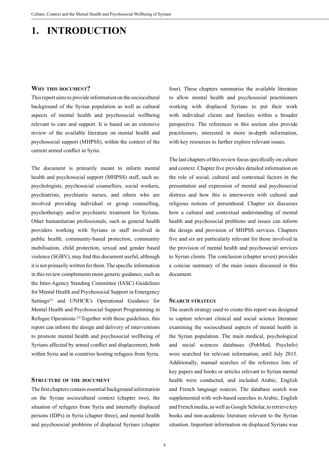# **1. INTRODUCTION**

#### **Why this document?**

This report aims to provide information on the sociocultural background of the Syrian population as well as cultural aspects of mental health and psychosocial wellbeing relevant to care and support. It is based on an extensive review of the available literature on mental health and psychosocial support (MHPSS), within the context of the current armed conflict in Syria.

The document is primarily meant to inform mental health and psychosocial support (MHPSS) staff, such as: psychologists, psychosocial counsellors, social workers, psychiatrists, psychiatric nurses, and others who are involved providing individual or group counselling, psychotherapy and/or psychiatric treatment for Syrians. Other humanitarian professionals, such as general health providers working with Syrians or staff involved in public health, community-based protection, community mobilisation, child protection, sexual and gender based violence (SGBV), may find this document useful, although it is not primarily written for them. The specific information in this review complements more generic guidance, such as the Inter-Agency Standing Committee (IASC) Guidelines for Mental Health and Psychosocial Support in Emergency Settings<sup>[1]</sup> and UNHCR's Operational Guidance for Mental Health and Psychosocial Support Programming in Refugee Operations.[2] Together with these guidelines, this report can inform the design and delivery of interventions to promote mental health and psychosocial wellbeing of Syrians affected by armed conflict and displacement, both within Syria and in countries hosting refugees from Syria.

#### **Structure of the document**

The first chapters contain essential background information on the Syrian sociocultural context (chapter two), the situation of refugees from Syria and internally displaced persons (IDPs) in Syria (chapter three), and mental health and psychosocial problems of displaced Syrians (chapter

four). These chapters summarise the available literature to allow mental health and psychosocial practitioners working with displaced Syrians to put their work with individual clients and families within a broader perspective. The references in this section also provide practitioners, interested in more in-depth information, with key resources to further explore relevant issues.

The last chapters of this review focus specifically on culture and context. Chapter five provides detailed information on the role of social, cultural and contextual factors in the presentation and expression of mental and psychosocial distress and how this is interwoven with cultural and religious notions of personhood. Chapter six discusses how a cultural and contextual understanding of mental health and psychosocial problems and issues can inform the design and provision of MHPSS services. Chapters five and six are particularly relevant for those involved in the provision of mental health and psychosocial services to Syrian clients. The conclusion (chapter seven) provides a concise summary of the main issues discussed in this document.

#### **Search strategy**

The search strategy used to create this report was designed to capture relevant clinical and social science literature examining the sociocultural aspects of mental health in the Syrian population. The main medical, psychological and social sciences databases (PubMed, PsycInfo) were searched for relevant information, until July 2015. Additionally, manual searches of the reference lists of key papers and books or articles relevant to Syrian mental health were conducted, and included Arabic, English and French language sources. The database search was supplemented with web-based searches in Arabic, English and French media, as well as Google Scholar, to retrieve key books and non-academic literature relevant to the Syrian situation. Important information on displaced Syrians was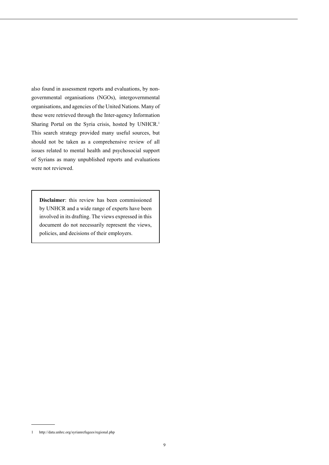also found in assessment reports and evaluations, by nongovernmental organisations (NGOs), intergovernmental organisations, and agencies of the United Nations. Many of these were retrieved through the Inter-agency Information Sharing Portal on the Syria crisis, hosted by UNHCR.<sup>1</sup> This search strategy provided many useful sources, but should not be taken as a comprehensive review of all issues related to mental health and psychosocial support of Syrians as many unpublished reports and evaluations were not reviewed.

**Disclaimer**: this review has been commissioned by UNHCR and a wide range of experts have been involved in its drafting. The views expressed in this document do not necessarily represent the views, policies, and decisions of their employers.

<sup>1</sup> http://data.unhrc.org/syrianrefugees/regional.php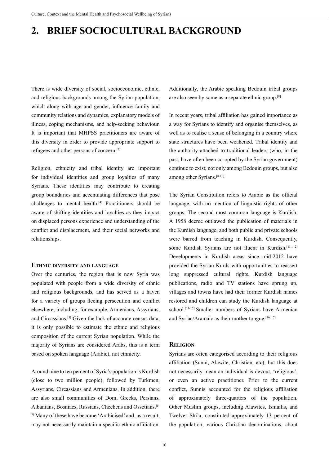# **2. BRIEF SOCIOCULTURAL BACKGROUND**

There is wide diversity of social, socioeconomic, ethnic, and religious backgrounds among the Syrian population, which along with age and gender, influence family and community relations and dynamics, explanatory models of illness, coping mechanisms, and help-seeking behaviour. It is important that MHPSS practitioners are aware of this diversity in order to provide appropriate support to refugees and other persons of concern.[3]

Religion, ethnicity and tribal identity are important for individual identities and group loyalties of many Syrians. These identities may contribute to creating group boundaries and accentuating differences that pose challenges to mental health.[4] Practitioners should be aware of shifting identities and loyalties as they impact on displaced persons experience and understanding of the conflict and displacement, and their social networks and relationships.

#### **Ethnic diversity and language**

Over the centuries, the region that is now Syria was populated with people from a wide diversity of ethnic and religious backgrounds, and has served as a haven for a variety of groups fleeing persecution and conflict elsewhere, including, for example, Armenians, Assyrians, and Circassians.[5] Given the lack of accurate census data, it is only possible to estimate the ethnic and religious composition of the current Syrian population. While the majority of Syrians are considered Arabs, this is a term based on spoken language (Arabic), not ethnicity.

Around nine to ten percent of Syria's population is Kurdish (close to two million people), followed by Turkmen, Assyrians, Circassians and Armenians. In addition, there are also small communities of Dom, Greeks, Persians, Albanians, Bosniacs, Russians, Chechens and Ossetians.[5-  $7$ <sup>1</sup> Many of these have become 'Arabicised' and, as a result, may not necessarily maintain a specific ethnic affiliation.

Additionally, the Arabic speaking Bedouin tribal groups are also seen by some as a separate ethnic group.[8]

In recent years, tribal affiliation has gained importance as a way for Syrians to identify and organise themselves, as well as to realise a sense of belonging in a country where state structures have been weakened. Tribal identity and the authority attached to traditional leaders (who, in the past, have often been co-opted by the Syrian government) continue to exist, not only among Bedouin groups, but also among other Syrians.[8-10]

The Syrian Constitution refers to Arabic as the official language, with no mention of linguistic rights of other groups. The second most common language is Kurdish. A 1958 decree outlawed the publication of materials in the Kurdish language, and both public and private schools were barred from teaching in Kurdish. Consequently, some Kurdish Syrians are not fluent in Kurdish.<sup>[11, 12]</sup> Developments in Kurdish areas since mid-2012 have provided the Syrian Kurds with opportunities to reassert long suppressed cultural rights. Kurdish language publications, radio and TV stations have sprung up, villages and towns have had their former Kurdish names restored and children can study the Kurdish language at school.<sup>[13-15]</sup> Smaller numbers of Syrians have Armenian and Syriac/Aramaic as their mother tongue.<sup>[16, 17]</sup>

#### **Religion**

Syrians are often categorised according to their religious affiliation (Sunni, Alawite, Christian, etc), but this does not necessarily mean an individual is devout, 'religious', or even an active practitioner. Prior to the current conflict, Sunnis accounted for the religious affiliation of approximately three-quarters of the population. Other Muslim groups, including Alawites, Ismailis, and Twelver Shi'a, constituted approximately 13 percent of the population; various Christian denominations, about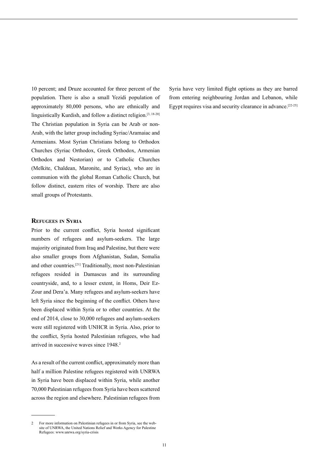10 percent; and Druze accounted for three percent of the population. There is also a small Yezidi population of approximately 80,000 persons, who are ethnically and linguistically Kurdish, and follow a distinct religion.[3, 18-20] The Christian population in Syria can be Arab or non-Arab, with the latter group including Syriac/Aramaiac and Armenians. Most Syrian Christians belong to Orthodox Churches (Syriac Orthodox, Greek Orthodox, Armenian Orthodox and Nestorian) or to Catholic Churches (Melkite, Chaldean, Maronite, and Syriac), who are in communion with the global Roman Catholic Church, but follow distinct, eastern rites of worship. There are also small groups of Protestants.

#### **Refugees in Syria**

Prior to the current conflict, Syria hosted significant numbers of refugees and asylum-seekers. The large majority originated from Iraq and Palestine, but there were also smaller groups from Afghanistan, Sudan, Somalia and other countries.[21] Traditionally, most non-Palestinian refugees resided in Damascus and its surrounding countryside, and, to a lesser extent, in Homs, Deir Ez-Zour and Dera'a. Many refugees and asylum-seekers have left Syria since the beginning of the conflict. Others have been displaced within Syria or to other countries. At the end of 2014, close to 30,000 refugees and asylum-seekers were still registered with UNHCR in Syria. Also, prior to the conflict, Syria hosted Palestinian refugees, who had arrived in successive waves since 1948.<sup>2</sup>

As a result of the current conflict, approximately more than half a million Palestine refugees registered with UNRWA in Syria have been displaced within Syria, while another 70,000 Palestinian refugees from Syria have been scattered across the region and elsewhere. Palestinian refugees from

2 For more information on Palestinian refugees in or from Syria, see the website of UNRWA, the United Nations Relief and Works Agency for Palestine Refugees: www.unrwa.org/syria-crisis

Syria have very limited flight options as they are barred from entering neighbouring Jordan and Lebanon, while Egypt requires visa and security clearance in advance.<sup>[22-25]</sup>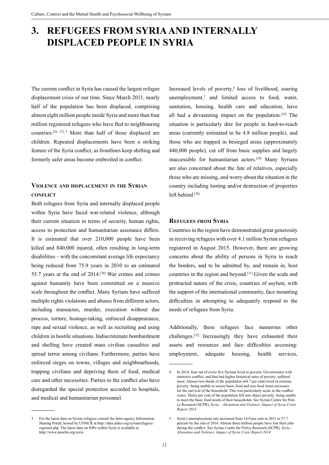# **3. REFUGEES FROM SYRIA AND INTERNALLY DISPLACED PEOPLE IN SYRIA**

The current conflict in Syria has caused the largest refugee displacement crisis of our time. Since March 2011, nearly half of the population has been displaced, comprising almost eight million people inside Syria and more than four million registered refugees who have fled to neighbouring countries.[26, 27] 3 More than half of those displaced are children. Repeated displacements have been a striking feature of the Syria conflict, as frontlines keep shifting and formerly safer areas become embroiled in conflict.

# **Violence and displacement in the Syrian conflict**

Both refugees from Syria and internally displaced people within Syria have faced war-related violence, although their current situation in terms of security, human rights, access to protection and humanitarian assistance differs. It is estimated that over 210,000 people have been killed and 840,000 injured, often resulting in long-term disabilities – with the concomitant average life expectancy being reduced from 75.9 years in 2010 to an estimated 55.7 years at the end of 2014.[28] War crimes and crimes against humanity have been committed on a massive scale throughout the conflict. Many Syrians have suffered multiple rights violations and abuses from different actors, including massacres, murder, execution without due process, torture, hostage-taking, enforced disappearance, rape and sexual violence, as well as recruiting and using children in hostile situations. Indiscriminate bombardment and shelling have created mass civilian casualties and spread terror among civilians. Furthermore, parties have enforced sieges on towns, villages and neighbourhoods, trapping civilians and depriving them of food, medical care and other necessities. Parties to the conflict also have disregarded the special protection accorded to hospitals, and medical and humanitarian personnel.

Increased levels of poverty,<sup>4</sup> loss of livelihood, soaring unemployment,<sup>5</sup> and limited access to food, water, sanitation, housing, health care and education, have all had a devastating impact on the population.[29] The situation is particularly dire for people in hard-to-reach areas (currently estimated to be 4.8 million people), and those who are trapped in besieged areas (approximately 440,000 people), cut off from basic supplies and largely inaccessible for humanitarian actors.[29] Many Syrians are also concerned about the fate of relatives, especially those who are missing, and worry about the situation in the country including looting and/or destruction of properties left behind.<sup>[30]</sup>

#### **Refugees from Syria**

Countries in the region have demonstrated great generosity in receiving refugees with over 4.1 million Syrian refugees registered in August 2015. However, there are growing concerns about the ability of persons in Syria to reach the borders, and to be admitted by, and remain in, host countries in the region and beyond.[31] Given the scale and protracted nature of the crisis, countries of asylum, with the support of the international community, face mounting difficulties in attempting to adequately respond to the needs of refugees from Syria.

Additionally, these refugees face numerous other challenges.[32] Increasingly they have exhausted their assets and resources and face difficulties accessing: employment, adequate housing, health services,

<sup>3</sup> For the latest data on Syrian refugees consult the Inter-agency Information Sharing Portal, hosted by UNHCR at http://data.unhcr.org/syrianrefugees/ regional.php. The latest data on IDPs within Syria is available at http://www.unocha.org/syria.

<sup>4</sup> In 2014, four out of every five Syrians lived in poverty. Governorates with intensive conflict, and that had higher historical rates of poverty, suffered most. Almost two-thirds of the population (64.7 per cent) lived in extreme poverty: being unable to secure basic food and non-food items necessary for the survival of the household. This was particularly acute in the conflict zones. Thirty per cent of the population fell into abject poverty: being unable to meet the basic food needs of their households. See Syrian Centre for Policy Research (SCPR), *Syria – Alienation and Violence: Impact of Syria Crisis Report 2014*

<sup>5</sup> Syria's unemployment rate increased from 14.9 per cent in 2011 to 57.7 percent by the end of 2014. Almost three million people have lost their jobs during the conflict. See Syrian Centre for Policy Research (SCPR), *Syria – Alienation and Violence: Impact of Syria Crisis Report 2014*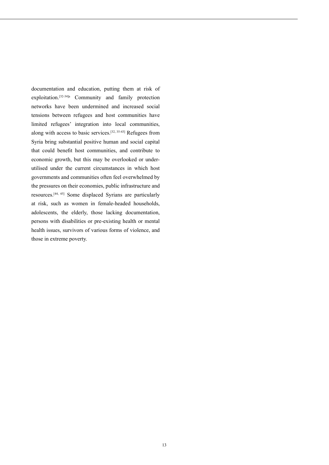documentation and education, putting them at risk of exploitation.[32-34]a Community and family protection networks have been undermined and increased social tensions between refugees and host communities have limited refugees' integration into local communities, along with access to basic services.[32, 35-43] Refugees from Syria bring substantial positive human and social capital that could benefit host communities, and contribute to economic growth, but this may be overlooked or underutilised under the current circumstances in which host governments and communities often feel overwhelmed by the pressures on their economies, public infrastructure and resources.[44, 45] Some displaced Syrians are particularly at risk, such as women in female-headed households, adolescents, the elderly, those lacking documentation, persons with disabilities or pre-existing health or mental health issues, survivors of various forms of violence, and those in extreme poverty.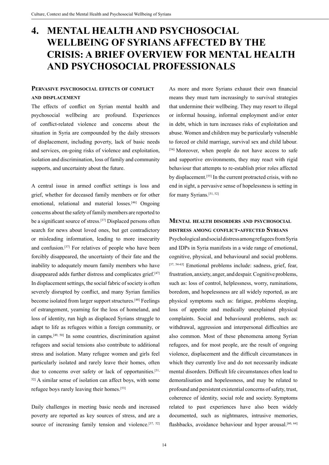# **4.MENTAL HEALTH AND PSYCHOSOCIAL WELLBEING OF SYRIANS AFFECTED BY THE CRISIS: A BRIEF OVERVIEW FOR MENTAL HEALTH AND PSYCHOSOCIAL PROFESSIONALS**

# **Pervasive psychosocial effects of conflict and displacement**

The effects of conflict on Syrian mental health and psychosocial wellbeing are profound. Experiences of conflict-related violence and concerns about the situation in Syria are compounded by the daily stressors of displacement, including poverty, lack of basic needs and services, on-going risks of violence and exploitation, isolation and discrimination, loss of family and community supports, and uncertainty about the future.

A central issue in armed conflict settings is loss and grief, whether for deceased family members or for other emotional, relational and material losses.<sup>[46]</sup> Ongoing concerns about the safety of family members are reported to be a significant source of stress.[37] Displaced persons often search for news about loved ones, but get contradictory or misleading information, leading to more insecurity and confusion.[37] For relatives of people who have been forcibly disappeared, the uncertainty of their fate and the inability to adequately mourn family members who have disappeared adds further distress and complicates grief.[47] In displacement settings, the social fabric of society is often severely disrupted by conflict, and many Syrian families become isolated from larger support structures.[48] Feelings of estrangement, yearning for the loss of homeland, and loss of identity, run high as displaced Syrians struggle to adapt to life as refugees within a foreign community, or in camps.[49, 50] In some countries, discrimination against refugees and social tensions also contribute to additional stress and isolation. Many refugee women and girls feel particularly isolated and rarely leave their homes, often due to concerns over safety or lack of opportunities.<sup>[51,</sup>] 52] A similar sense of isolation can affect boys, with some refugee boys rarely leaving their homes.[53]

Daily challenges in meeting basic needs and increased poverty are reported as key sources of stress, and are a source of increasing family tension and violence.<sup>[37, 52]</sup>

As more and more Syrians exhaust their own financial means they must turn increasingly to survival strategies that undermine their wellbeing. They may resort to illegal or informal housing, informal employment and/or enter in debt, which in turn increases risks of exploitation and abuse. Women and children may be particularly vulnerable to forced or child marriage, survival sex and child labour. [54] Moreover, when people do not have access to safe and supportive environments, they may react with rigid behaviour that attempts to re-establish prior roles affected by displacement.<sup>[55]</sup> In the current protracted crisis, with no end in sight, a pervasive sense of hopelessness is setting in for many Syrians.<sup>[51, 52]</sup>

# **Mental health disorders and psychosocial distress among conflict-affected Syrians**

Psychological and social distress among refugees from Syria and IDPs in Syria manifests in a wide range of emotional, cognitive, physical, and behavioural and social problems. [37, 54-63] Emotional problems include: sadness, grief, fear, frustration, anxiety, anger, and despair. Cognitive problems, such as: loss of control, helplessness, worry, ruminations, boredom, and hopelessness are all widely reported, as are physical symptoms such as: fatigue, problems sleeping, loss of appetite and medically unexplained physical complaints. Social and behavioural problems, such as: withdrawal, aggression and interpersonal difficulties are also common. Most of these phenomena among Syrian refugees, and for most people, are the result of ongoing violence, displacement and the difficult circumstances in which they currently live and do not necessarily indicate mental disorders. Difficult life circumstances often lead to demoralisation and hopelessness, and may be related to profound and persistent existential concerns of safety, trust, coherence of identity, social role and society. Symptoms related to past experiences have also been widely documented, such as nightmares, intrusive memories, flashbacks, avoidance behaviour and hyper arousal.<sup>[60, 64]</sup>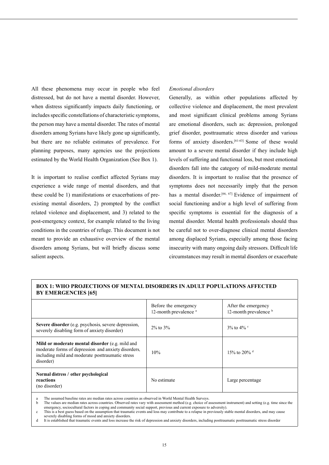All these phenomena may occur in people who feel distressed, but do not have a mental disorder. However, when distress significantly impacts daily functioning, or includes specific constellations of characteristic symptoms, the person may have a mental disorder. The rates of mental disorders among Syrians have likely gone up significantly, but there are no reliable estimates of prevalence. For planning purposes, many agencies use the projections estimated by the World Health Organization (See Box 1).

It is important to realise conflict affected Syrians may experience a wide range of mental disorders, and that these could be 1) manifestations or exacerbations of preexisting mental disorders, 2) prompted by the conflict related violence and displacement, and 3) related to the post-emergency context, for example related to the living conditions in the countries of refuge. This document is not meant to provide an exhaustive overview of the mental disorders among Syrians, but will briefly discuss some salient aspects.

#### *Emotional disorders*

Generally, as within other populations affected by collective violence and displacement, the most prevalent and most significant clinical problems among Syrians are emotional disorders, such as: depression, prolonged grief disorder, posttraumatic stress disorder and various forms of anxiety disorders.[61-63] Some of these would amount to a severe mental disorder if they include high levels of suffering and functional loss, but most emotional disorders fall into the category of mild-moderate mental disorders. It is important to realise that the presence of symptoms does not necessarily imply that the person has a mental disorder.<sup>[66, 67]</sup> Evidence of impairment of social functioning and/or a high level of suffering from specific symptoms is essential for the diagnosis of a mental disorder. Mental health professionals should thus be careful not to over-diagnose clinical mental disorders among displaced Syrians, especially among those facing insecurity with many ongoing daily stressors. Difficult life circumstances may result in mental disorders or exacerbate

| <b>BOX 1: WHO PROJECTIONS OF MENTAL DISORDERS IN ADULT POPULATIONS AFFECTED</b><br><b>BY EMERGENCIES [65]</b>                                                           |                                                          |                                              |  |
|-------------------------------------------------------------------------------------------------------------------------------------------------------------------------|----------------------------------------------------------|----------------------------------------------|--|
|                                                                                                                                                                         | Before the emergency<br>12-month prevalence <sup>a</sup> | After the emergency<br>12-month prevalence b |  |
| Severe disorder (e.g. psychosis, severe depression,<br>severely disabling form of anxiety disorder)                                                                     | $2\%$ to $3\%$                                           | $3\%$ to $4\%$ c                             |  |
| Mild or moderate mental disorder (e.g. mild and<br>moderate forms of depression and anxiety disorders,<br>including mild and moderate posttraumatic stress<br>disorder) | 10%                                                      | 15\% to 20\% d                               |  |
| Normal distress / other psychological<br>reactions<br>(no disorder)                                                                                                     | No estimate                                              | Large percentage                             |  |

a The assumed baseline rates are median rates across countries as observed in World Mental Health Surveys.<br>b The values are median rates across countries. Observed rates vary with assessment method (e.g. choice of a

The values are median rates across countries. Observed rates vary with assessment method (e.g. choice of assessment instrument) and setting (e.g. time since the emergency, sociocultural factors in coping and community social support, previous and current exposure to adversity).

c This is a best guess based on the assumption that traumatic events and loss may contribute to a relapse in previously stable mental disorders, and may cause severely disabling forms of mood and anxiety disorders.

d It is established that traumatic events and loss increase the risk of depression and anxiety disorders, including posttraumatic posttraumatic stress disorder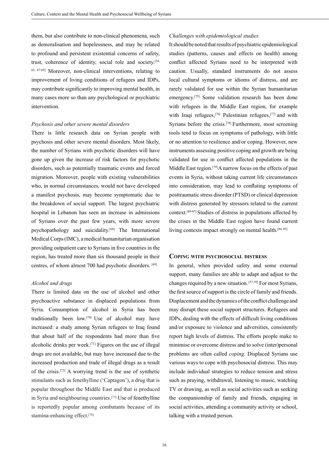them, but also contribute to non-clinical phenomena, such as demoralisation and hopelessness, and may be related to profound and persistent existential concerns of safety, trust, coherence of identity, social role and society.[54, 62, 67-69] Moreover, non-clinical interventions, relating to improvement of living conditions of refugees and IDPs, may contribute significantly to improving mental health, in many cases more so than any psychological or psychiatric intervention.

#### *Psychosis and other severe mental disorders*

There is little research data on Syrian people with psychosis and other severe mental disorders. Most likely, the number of Syrians with psychotic disorders will have gone up given the increase of risk factors for psychotic disorders, such as potentially traumatic events and forced migration. Moreover, people with existing vulnerabilities who, in normal circumstances, would not have developed a manifest psychosis, may become symptomatic due to the breakdown of social support. The largest psychiatric hospital in Lebanon has seen an increase in admissions of Syrians over the past few years, with more severe psychopathology and suicidality.[68] The International Medical Corps (IMC), a medical humanitarian organisation providing outpatient care to Syrians in five countries in the region, has treated more than six thousand people in their centres, of whom almost 700 had psychotic disorders. [69]

#### *Alcohol and drugs*

There is limited data on the use of alcohol and other psychoactive substance in displaced populations from Syria. Consumption of alcohol in Syria has been traditionally been low.[70] Use of alcohol may have increased: a study among Syrian refugees to Iraq found that about half of the respondents had more than five alcoholic drinks per week.[71] Figures on the use of illegal drugs are not available, but may have increased due to the increased production and trade of illegal drugs as a result of the crisis.[72] A worrying trend is the use of synthetic stimulants such as fenethylline ('Captagon'), a drug that is popular throughout the Middle East and that is produced in Syria and neighbouring countries.[73] Use of fenethylline is reportedly popular among combatants because of its stamina-enhancing effect.[74]

#### *Challenges with epidemiological studies*

It should be noted that results of psychiatric epidemiological studies (patterns, causes and effects on health) among conflict affected Syrians need to be interpreted with caution. Usually, standard instruments do not assess local cultural symptoms or idioms of distress, and are rarely validated for use within the Syrian humanitarian emergency.[75] Some validation research has been done with refugees in the Middle East region, for example with Iraqi refugees,<sup>[76]</sup> Palestinian refugees,<sup>[77]</sup> and with Syrians before the crisis.<sup>[78]</sup> Furthermore, most screening tools tend to focus on symptoms of pathology, with little or no attention to resilience and/or coping. However, new instruments assessing positive coping and growth are being validated for use in conflict affected populations in the Middle East region.<sup>[79]</sup> A narrow focus on the effects of past events in Syria, without taking current life circumstances into consideration, may lead to conflating symptoms of posttraumatic stress disorder (PTSD) or clinical depression with distress generated by stressors related to the current context.[80-83] Studies of distress in populations affected by the crises in the Middle East region have found current living contexts impact strongly on mental health.[84, 85]

#### **Coping with psychosocial distress**

In general, when provided safety and some external support, many families are able to adapt and adjust to the changes required by a new situation. [57-59] For most Syrians, the first source of support is the circle of family and friends. Displacement and the dynamics of the conflict challenge and may disrupt these social support structures. Refugees and IDPs, dealing with the effects of difficult living conditions and/or exposure to violence and adversities, consistently report high levels of distress. The efforts people make to minimise or overcome distress and to solve (inter)personal problems are often called *coping*. Displaced Syrians use various ways to cope with psychosocial distress. This may include individual strategies to reduce tension and stress such as praying, withdrawal, listening to music, watching TV or drawing, as well as social activities such as seeking the companionship of family and friends, engaging in social activities, attending a community activity or school, talking with a trusted person.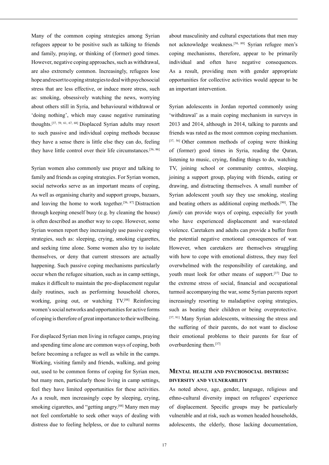Many of the common coping strategies among Syrian refugees appear to be positive such as talking to friends and family, praying, or thinking of (former) good times. However, negative coping approaches, such as withdrawal, are also extremely common. Increasingly, refugees lose hope and resort to coping strategies to deal with psychosocial stress that are less effective, or induce more stress, such as: smoking, obsessively watching the news, worrying about others still in Syria, and behavioural withdrawal or 'doing nothing', which may cause negative ruminating thoughts.[37, 59, 61, 67, 68] Displaced Syrian adults may resort to such passive and individual coping methods because they have a sense there is little else they can do, feeling they have little control over their life circumstances.[56, 86]

Syrian women also commonly use prayer and talking to family and friends as coping strategies. For Syrian women, social networks serve as an important means of coping, As well as organising charity and support groups, bazaars, and leaving the home to work together.[56, 87] Distraction through keeping oneself busy (e.g. by cleaning the house) is often described as another way to cope. However, some Syrian women report they increasingly use passive coping strategies, such as: sleeping, crying, smoking cigarettes, and seeking time alone. Some women also try to isolate themselves, or deny that current stressors are actually happening. Such passive coping mechanisms particularly occur when the refugee situation, such as in camp settings, makes it difficult to maintain the pre-displacement regular daily routines, such as performing household chores, working, going out, or watching TV.[88] Reinforcing women's social networks and opportunities for active forms of coping is therefore of great importance to their wellbeing.

For displaced Syrian men living in refugee camps, praying and spending time alone are common ways of coping, both before becoming a refugee as well as while in the camps. Working, visiting family and friends, walking, and going out, used to be common forms of coping for Syrian men, but many men, particularly those living in camp settings, feel they have limited opportunities for these activities. As a result, men increasingly cope by sleeping, crying, smoking cigarettes, and "getting angry.<sup>[88]</sup> Many men may not feel comfortable to seek other ways of dealing with distress due to feeling helpless, or due to cultural norms about masculinity and cultural expectations that men may not acknowledge weakness.[50, 89] Syrian refugee men's coping mechanisms, therefore, appear to be primarily individual and often have negative consequences. As a result, providing men with gender appropriate opportunities for collective activities would appear to be an important intervention.

Syrian adolescents in Jordan reported commonly using 'withdrawal' as a main coping mechanism in surveys in 2013 and 2014, although in 2014, talking to parents and friends was rated as the most common coping mechanism. [37, 56] Other common methods of coping were thinking of (former) good times in Syria, reading the Quran, listening to music, crying, finding things to do, watching TV, joining school or community centres, sleeping, joining a support group, playing with friends, eating or drawing, and distracting themselves. A small number of Syrian adolescent youth say they use smoking, stealing and beating others as additional coping methods.[90]. The *family* can provide ways of coping, especially for youth who have experienced displacement and war-related violence. Caretakers and adults can provide a buffer from the potential negative emotional consequences of war. However, when caretakers are themselves struggling with how to cope with emotional distress, they may feel overwhelmed with the responsibility of caretaking, and youth must look for other means of support.[37] Due to the extreme stress of social, financial and occupational turmoil accompanying the war, some Syrian parents report increasingly resorting to maladaptive coping strategies, such as beating their children or being overprotective. [37, 91] Many Syrian adolescents, witnessing the stress and the suffering of their parents, do not want to disclose their emotional problems to their parents for fear of overburdening them.[37]

# **Mental health and psychosocial distress: diversity and vulnerability**

As noted above, age, gender, language, religious and ethno-cultural diversity impact on refugees' experience of displacement. Specific groups may be particularly vulnerable and at risk, such as women headed households, adolescents, the elderly, those lacking documentation,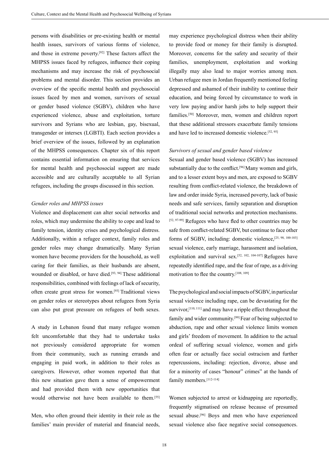persons with disabilities or pre-existing health or mental health issues, survivors of various forms of violence, and those in extreme poverty.[92] These factors affect the MHPSS issues faced by refugees, influence their coping mechanisms and may increase the risk of psychosocial problems and mental disorder. This section provides an overview of the specific mental health and psychosocial issues faced by men and women, survivors of sexual or gender based violence (SGBV), children who have experienced violence, abuse and exploitation, torture survivors and Syrians who are lesbian, gay, bisexual, transgender or intersex (LGBTI). Each section provides a brief overview of the issues, followed by an explanation of the MHPSS consequences. Chapter six of this report contains essential information on ensuring that services for mental health and psychosocial support are made accessible and are culturally acceptable to all Syrian refugees, including the groups discussed in this section.

#### *Gender roles and MHPSS issues*

Violence and displacement can alter social networks and roles, which may undermine the ability to cope and lead to family tension, identity crises and psychological distress. Additionally, within a refugee context, family roles and gender roles may change dramatically. Many Syrian women have become providers for the household, as well caring for their families, as their husbands are absent, wounded or disabled, or have died.<sup>[93, 94]</sup> These additional responsibilities, combined with feelings of lack of security, often create great stress for women.[93] Traditional views on gender roles or stereotypes about refugees from Syria can also put great pressure on refugees of both sexes.

A study in Lebanon found that many refugee women felt uncomfortable that they had to undertake tasks not previously considered appropriate for women from their community, such as running errands and engaging in paid work, in addition to their roles as caregivers. However, other women reported that that this new situation gave them a sense of empowerment and had provided them with new opportunities that would otherwise not have been available to them.[55]

Men, who often ground their identity in their role as the families' main provider of material and financial needs, may experience psychological distress when their ability to provide food or money for their family is disrupted. Moreover, concerns for the safety and security of their families, unemployment, exploitation and working illegally may also lead to major worries among men. Urban refugee men in Jordan frequently mentioned feeling depressed and ashamed of their inability to continue their education, and being forced by circumstance to work in very low paying and/or harsh jobs to help support their families.[50] Moreover, men, women and children report that these additional stressors exacerbate family tensions and have led to increased domestic violence.[52, 95]

### *Survivors of sexual and gender based violence*

Sexual and gender based violence (SGBV) has increased substantially due to the conflict.<sup>[96]</sup> Many women and girls, and to a lesser extent boys and men, are exposed to SGBV resulting from conflict-related violence, the breakdown of law and order inside Syria, increased poverty, lack of basic needs and safe services, family separation and disruption of traditional social networks and protection mechanisms. [52, 97-99] Refugees who have fled to other countries may be safe from conflict-related SGBV, but continue to face other forms of SGBV, including: domestic violence,[25, 98, 100-103] sexual violence, early marriage, harassment and isolation, exploitation and survival sex.[52, 102, 104-107] Refugees have repeatedly identified rape, and the fear of rape, as a driving motivation to flee the country.[108, 109]

The psychological and social impacts of SGBV, in particular sexual violence including rape, can be devastating for the survivor,<sup>[110, 111]</sup> and may have a ripple effect throughout the family and wider community.[99] Fear of being subjected to abduction, rape and other sexual violence limits women and girls' freedom of movement. In addition to the actual ordeal of suffering sexual violence, women and girls often fear or actually face social ostracism and further repercussions, including: rejection, divorce, abuse and for a minority of cases "honour" crimes" at the hands of family members.<sup>[112-114]</sup>

Women subjected to arrest or kidnapping are reportedly, frequently stigmatised on release because of presumed sexual abuse.[96] Boys and men who have experienced sexual violence also face negative social consequences.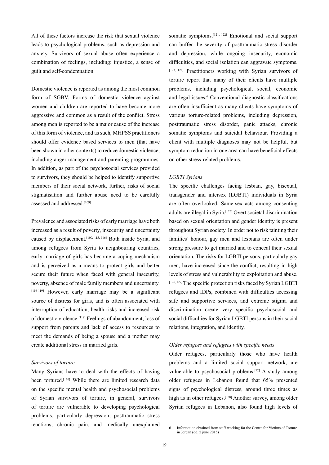All of these factors increase the risk that sexual violence leads to psychological problems, such as depression and anxiety. Survivors of sexual abuse often experience a combination of feelings, including: injustice, a sense of guilt and self-condemnation.

Domestic violence is reported as among the most common form of SGBV. Forms of domestic violence against women and children are reported to have become more aggressive and common as a result of the conflict. Stress among men is reported to be a major cause of the increase of this form of violence, and as such, MHPSS practitioners should offer evidence based services to men (that have been shown in other contexts) to reduce domestic violence, including anger management and parenting programmes. In addition, as part of the psychosocial services provided to survivors, they should be helped to identify supportive members of their social network, further, risks of social stigmatisation and further abuse need to be carefully assessed and addressed.[109]

Prevalence and associated risks of early marriage have both increased as a result of poverty, insecurity and uncertainty caused by displacement.[100, 115, 116] Both inside Syria, and among refugees from Syria to neighbouring countries, early marriage of girls has become a coping mechanism and is perceived as a means to protect girls and better secure their future when faced with general insecurity, poverty, absence of male family members and uncertainty. [116-119] However, early marriage may be a significant source of distress for girls, and is often associated with interruption of education, health risks and increased risk of domestic violence.[118] Feelings of abandonment, loss of support from parents and lack of access to resources to meet the demands of being a spouse and a mother may create additional stress in married girls.

#### *Survivors of torture*

Many Syrians have to deal with the effects of having been tortured.<sup>[120]</sup> While there are limited research data on the specific mental health and psychosocial problems of Syrian survivors of torture, in general, survivors of torture are vulnerable to developing psychological problems, particularly depression, posttraumatic stress reactions, chronic pain, and medically unexplained

somatic symptoms.[121, 122] Emotional and social support can buffer the severity of posttraumatic stress disorder and depression, while ongoing insecurity, economic difficulties, and social isolation can aggravate symptoms. [123, 124] Practitioners working with Syrian survivors of torture report that many of their clients have multiple problems, including psychological, social, economic and legal issues.<sup>6</sup> Conventional diagnostic classifications are often insufficient as many clients have symptoms of various torture-related problems, including depression, posttraumatic stress disorder, panic attacks, chronic somatic symptoms and suicidal behaviour. Providing a client with multiple diagnoses may not be helpful, but symptom reduction in one area can have beneficial effects on other stress-related problems.

#### *LGBTI Syrians*

The specific challenges facing lesbian, gay, bisexual, transgender and intersex (LGBTI) individuals in Syria are often overlooked. Same-sex acts among consenting adults are illegal in Syria.[125] Overt societal discrimination based on sexual orientation and gender identity is present throughout Syrian society. In order not to risk tainting their families' honour, gay men and lesbians are often under strong pressure to get married and to conceal their sexual orientation. The risks for LGBTI persons, particularly gay men, have increased since the conflict, resulting in high levels of stress and vulnerability to exploitation and abuse. [126, 127] The specific protection risks faced by Syrian LGBTI refugees and IDPs, combined with difficulties accessing safe and supportive services, and extreme stigma and discrimination create very specific psychosocial and social difficulties for Syrian LGBTI persons in their social relations, integration, and identity.

#### *Older refugees and refugees with specific needs*

Older refugees, particularly those who have health problems and a limited social support network, are vulnerable to psychosocial problems.[92] A study among older refugees in Lebanon found that 65% presented signs of psychological distress, around three times as high as in other refugees.<sup>[128]</sup> Another survey, among older Syrian refugees in Lebanon, also found high levels of

<sup>6</sup> Information obtained from staff working for the Centre for Victims of Torture in Jordan (dd. 2 june 2015)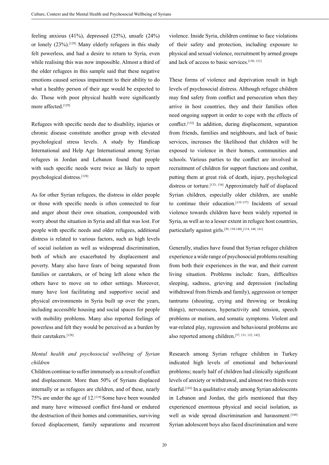feeling anxious (41%), depressed (25%), unsafe (24%) or lonely  $(23\%)$ .<sup>[129]</sup> Many elderly refugees in this study felt powerless, and had a desire to return to Syria, even while realising this was now impossible. Almost a third of the older refugees in this sample said that these negative emotions caused serious impairment to their ability to do what a healthy person of their age would be expected to do. Those with poor physical health were significantly more affected.<sup>[129]</sup>

Refugees with specific needs due to disability, injuries or chronic disease constitute another group with elevated psychological stress levels. A study by Handicap International and Help Age International among Syrian refugees in Jordan and Lebanon found that people with such specific needs were twice as likely to report psychological distress.[128]

As for other Syrian refugees, the distress in older people or those with specific needs is often connected to fear and anger about their own situation, compounded with worry about the situation in Syria and all that was lost. For people with specific needs and older refugees, additional distress is related to various factors, such as high levels of social isolation as well as widespread discrimination, both of which are exacerbated by displacement and poverty. Many also have fears of being separated from families or caretakers, or of being left alone when the others have to move on to other settings. Moreover, many have lost facilitating and supportive social and physical environments in Syria built up over the years, including accessible housing and social spaces for people with mobility problems. Many also reported feelings of powerless and felt they would be perceived as a burden by their caretakers<sup>[128]</sup>

# *Mental health and psychosocial wellbeing of Syrian children*

Children continue to suffer immensely as a result of conflict and displacement. More than 50% of Syrians displaced internally or as refugees are children, and of these, nearly 75% are under the age of 12.[119] Some have been wounded and many have witnessed conflict first-hand or endured the destruction of their homes and communities, surviving forced displacement, family separations and recurrent

violence. Inside Syria, children continue to face violations of their safety and protection, including exposure to physical and sexual violence, recruitment by armed groups and lack of access to basic services.[130, 131]

These forms of violence and deprivation result in high levels of psychosocial distress. Although refugee children may find safety from conflict and persecution when they arrive in host countries, they and their families often need ongoing support in order to cope with the effects of conflict.[132] In addition, during displacement, separation from friends, families and neighbours, and lack of basic services, increases the likelihood that children will be exposed to violence in their homes, communities and schools. Various parties to the conflict are involved in recruitment of children for support functions and combat, putting them at great risk of death, injury, psychological distress or torture.<sup>[133, 134]</sup> Approximately half of displaced Syrian children, especially older children, are unable to continue their education.<sup>[135-137]</sup> Incidents of sexual violence towards children have been widely reported in Syria, as well as to a lesser extent in refugee host countries, particularly against girls.<sup>[50, 138-140]</sup>.[114, 140, 141]

Generally, studies have found that Syrian refugee children experience a wide range of psychosocial problems resulting from both their experiences in the war, and their current living situation. Problems include: fears, difficulties sleeping, sadness, grieving and depression (including withdrawal from friends and family), aggression or temper tantrums (shouting, crying and throwing or breaking things), nervousness, hyperactivity and tension, speech problems or mutism, and somatic symptoms. Violent and war-related play, regression and behavioural problems are also reported among children.[37, 131, 132, 142]

Research among Syrian refugee children in Turkey indicated high levels of emotional and behavioural problems; nearly half of children had clinically significant levels of anxiety or withdrawal, and almost two thirds were fearful.[143] In a qualitative study among Syrian adolescents in Lebanon and Jordan, the girls mentioned that they experienced enormous physical and social isolation, as well as wide spread discrimination and harassment.<sup>[144]</sup> Syrian adolescent boys also faced discrimination and were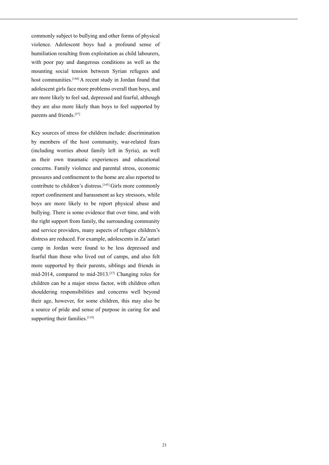commonly subject to bullying and other forms of physical violence. Adolescent boys had a profound sense of humiliation resulting from exploitation as child labourers, with poor pay and dangerous conditions as well as the mounting social tension between Syrian refugees and host communities.<sup>[144]</sup> A recent study in Jordan found that adolescent girls face more problems overall than boys, and are more likely to feel sad, depressed and fearful, although they are also more likely than boys to feel supported by parents and friends.[37]

Key sources of stress for children include: discrimination by members of the host community, war-related fears (including worries about family left in Syria), as well as their own traumatic experiences and educational concerns. Family violence and parental stress, economic pressures and confinement to the home are also reported to contribute to children's distress.[145] Girls more commonly report confinement and harassment as key stressors, while boys are more likely to be report physical abuse and bullying. There is some evidence that over time, and with the right support from family, the surrounding community and service providers, many aspects of refugee children's distress are reduced. For example, adolescents in Za'aatari camp in Jordan were found to be less depressed and fearful than those who lived out of camps, and also felt more supported by their parents, siblings and friends in mid-2014, compared to mid-2013.[37] Changing roles for children can be a major stress factor, with children often shouldering responsibilities and concerns well beyond their age, however, for some children, this may also be a source of pride and sense of purpose in caring for and supporting their families.<sup>[119]</sup>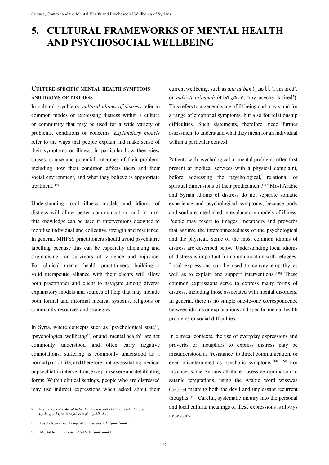# **5.CULTURAL FRAMEWORKS OF MENTAL HEALTH AND PSYCHOSOCIAL WELLBEING**

## **Culture-specific mental health symptoms and idioms of distress**

In cultural psychiatry, *cultural idioms of distress* refer to common modes of expressing distress within a culture or community that may be used for a wide variety of problems, conditions or concerns. *Explanatory models* refer to the ways that people explain and make sense of their symptoms or illness, in particular how they view causes, course and potential outcomes of their problem, including how their condition affects them and their social environment, and what they believe is appropriate treatment.<sup>[146]</sup>

Understanding local illness models and idioms of distress will allow better communication, and in turn, this knowledge can be used in interventions designed to mobilise individual and collective strength and resilience. In general, MHPSS practitioners should avoid psychiatric labelling because this can be especially alienating and stigmatising for survivors of violence and injustice. For clinical mental health practitioners, building a solid therapeutic alliance with their clients will allow both practitioner and client to navigate among diverse explanatory models and sources of help that may include both formal and informal medical systems, religious or community resources and strategies.

In Syria, where concepts such as 'psychological state'7 *,*  'psychological wellbeing'<sup>8</sup>, or and 'mental health'<sup>9</sup> are not commonly understood and often carry negative connotations, suffering is commonly understood as a normal part of life, and therefore, not necessitating medical or psychiatric intervention, except in severe and debilitating forms. Within clinical settings, people who are distressed may use indirect expressions when asked about their

current wellbeing, such as *ana ta'ban* (تعبان أنا,' I am tired', or *nafsiyti ta'banah* (تعبانه نفسيتي,' my psyche is tired'). This refers to a general state of ill being and may stand for a range of emotional symptoms, but also for relationship difficulties. Such statements, therefore, need further assessment to understand what they mean for an individual within a particular context.

Patients with psychological or mental problems often first present at medical services with a physical complaint, before addressing the psychological, relational or spiritual dimensions of their predicament.<sup>[147]</sup> Most Arabic and Syrian idioms of distress do not separate somatic experience and psychological symptoms, because body and soul are interlinked in explanatory models of illness. People may resort to images, metaphors and proverbs that assume the interconnectedness of the psychological and the physical. Some of the most common idioms of distress are described below. Understanding local idioms of distress is important for communication with refugees. Local expressions can be used to convey empathy as well as to explain and support interventions.<sup>[148]</sup> These common expressions serve to express many forms of distress, including those associated with mental disorders. In general, there is no simple one-to-one correspondence between idioms or explanations and specific mental health problems or social difficulties.

In clinical contexts, the use of everyday expressions and proverbs or metaphors to express distress may be misunderstood as 'resistance' to direct communication, or even misinterpreted as psychotic symptoms.[149, 150] For instance, some Syrians attribute obsessive rumination to satanic temptations, using the Arabic word wisswas (وسْواسْ) meaning both the devil and unpleasant recurrent thoughts.[150] Careful, systematic inquiry into the personal and local cultural meanings of these expressions is always necessary.

Psychological state: *al hala al nafsiah* (الحالة النفسية), *al wad' al nafsy* (النفسي الوضع(, or *al rafah el nafsi* (النفسي الرفاه(

<sup>8</sup> Psychological wellbeing: *al saha al nafsiah* (النفسية الصحة(

<sup>9</sup> Mental health: *al saha al 'akliah* (العقلية الصحة*(*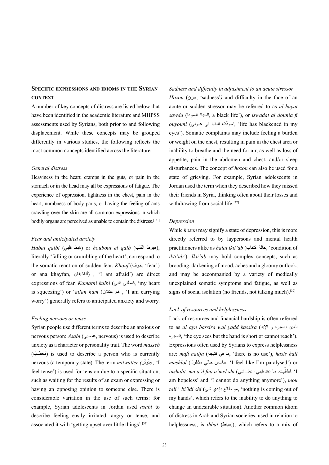# **Specific expressions and idioms in the Syrian context**

A number of key concepts of distress are listed below that have been identified in the academic literature and MHPSS assessments used by Syrians, both prior to and following displacement. While these concepts may be grouped differently in various studies, the following reflects the most common concepts identified across the literature.

#### *General distress*

Heaviness in the heart, cramps in the guts, or pain in the stomach or in the head may all be expressions of fatigue. The experience of oppression, tightness in the chest, pain in the heart, numbness of body parts, or having the feeling of ants crawling over the skin are all common expressions in which bodily organs are perceived as unable to contain the distress.[151]

#### *Fear and anticipated anxiety*

*Habat qalbi* (هبوط القلب) or *houbout el qalb* (هبوط القلب), literally 'falling or crumbling of the heart', correspond to the somatic reaction of sudden fear. *Khouf* (خوف,' fear') or ana khayfan, أناخيفان ),' I am afraid') are direct expressions of fear. *Kamatni kalbi* (قلبي قمطني,' my heart is squeezing') or '*atlan ham* (عتالن هم ,' I am carrying worry') generally refers to anticipated anxiety and worry.

#### *Feeling nervous or tense*

Syrian people use different terms to describe an anxious or nervous person: *Asabi* (عصبي, nervous) is used to describe anxiety as a character or personality trait. The word *masseb*  (مُعَصِّبُ) is used to describe a person who is currently nervous (a temporary state). The term *mitwatter (*رْ ّ ْوت I'*,* ِمت feel tense') is used for tension due to a specific situation, such as waiting for the results of an exam or expressing or having an opposing opinion to someone else. There is considerable variation in the use of such terms: for example, Syrian adolescents in Jordan used *asabi* to describe feeling easily irritated, angry or tense, and associated it with 'getting upset over little things'.[37]

*Sadness and difficulty in adjustment to an acute stressor Hozon* (حزن, 'sadness') and difficulty in the face of an acute or sudden stressor may be referred to as *al*-*hayat sawda* (السودا الحياة,*'*a black life'), or *iswadat al dounia fi ouyouni* (عيوني في الدنيا اسودت ّ ,' life has blackened in my eyes'). Somatic complaints may include feeling a burden or weight on the chest, resulting in pain in the chest area or inability to breathe and the need for air, as well as loss of appetite, pain in the abdomen and chest, and/or sleep disturbances. The concept of *hozon* can also be used for a state of grieving. For example, Syrian adolescents in Jordan used the term when they described how they missed their friends in Syria, thinking often about their losses and withdrawing from social life.<sup>[37]</sup>

#### *Depression*

While *hozon* may signify a state of depression, this is more directly referred to by laypersons and mental health practitioners alike as *halat ikti'ab* (اكتئاب حالة,' condition of *ikti'ab'*)*. Ikti'ab* may hold complex concepts, such as brooding, darkening of mood, aches and a gloomy outlook, and may be accompanied by a variety of medically unexplained somatic symptoms and fatigue, as well as signs of social isolation (no friends, not talking much).<sup>[37]</sup>

#### *Lack of resources and helplessness*

Lack of resources and financial hardship is often referred to as *al ayn bassira wal yadd kassira* (العين بصيره و الإيد قصيره,' the eye sees but the hand is short or cannot reach'). Expressions often used by Syrians to express helplessness are: *mafi natija* (نتيجه في ما,' there is no use'), *hasis hali mashlol* (مشلول حالي حاسس,' I feel like I'm paralysed') or inshalit, ma a'd fini a'mel shi (أنشلّيت، ما عاد فيني أعمل شي am hopeless' and 'I cannot do anything anymore'), *mou tali* ' *bi'idi shi* (شي بإيدي طالع مو,' nothing is coming out of my hands', which refers to the inability to do anything to change an undesirable situation). Another common idiom of distress in Arab and Syrian societies, used in relation to helplessness, is *ihbat* (إحباط), which refers to a mix of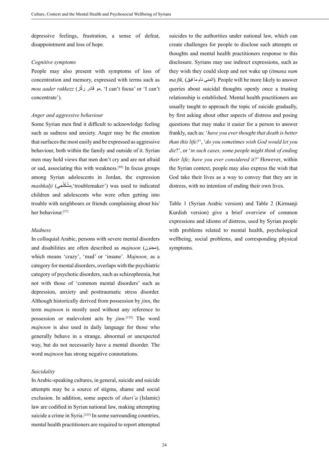depressive feelings, frustration, a sense of defeat, disappointment and loss of hope.

#### *Cognitive symptoms*

People may also present with symptoms of loss of concentration and memory, expressed with terms such as *mou aader rakkezz* (بو قادر ركّز, 'I can't focus' or 'I can't concentrate').

#### *Anger and aggressive behaviour*

Some Syrian men find it difficult to acknowledge feeling such as sadness and anxiety. Anger may be the emotion that surfaces the most easily and be expressed as aggressive behaviour, both within the family and outside of it. Syrian men may hold views that men don't cry and are not afraid or sad, associating this with weakness.[89] In focus groups among Syrian adolescents in Jordan, the expression *mashkalji* (مِشْكَلْجي, 'troublemaker') was used to indicated children and adolescents who were often getting into trouble with neighbours or friends complaining about his/ her behaviour.[37]

#### *Madness*

In colloquial Arabic, persons with severe mental disorders and disabilities are often described as *majnoon* (مجنون), which means 'crazy', 'mad' or 'insane'. *Majnoon,* as a category for mental disorders, overlaps with the psychiatric category of psychotic disorders, such as schizophrenia, but not with those of 'common mental disorders' such as depression, anxiety and posttraumatic stress disorder. Although historically derived from possession by *jinn*, the term *majnoon* is mostly used without any reference to possession or malevolent acts by *jinn.*[152] The word *majnoon* is also used in daily language for those who generally behave in a strange, abnormal or unexpected way, but do not necessarily have a mental disorder. The word *majnoon* has strong negative connotations.

#### *Suicidality*

In Arabic-speaking cultures, in general, suicide and suicide attempts may be a source of stigma, shame and social exclusion. In addition, some aspects of *shari'a* (Islamic) law are codified in Syrian national law, making attempting suicide a crime in Syria.<sup>[153]</sup> In some surrounding countries, mental health practitioners are required to report attempted

suicides to the authorities under national law, which can create challenges for people to disclose such attempts or thoughts and mental health practitioners response to this disclosure. Syrians may use indirect expressions, such as they wish they could sleep and not wake up (*itmana nam ma fik*, (اتمنی نام ما فیق). People will be more likely to answer queries about suicidal thoughts openly once a trusting relationship is established. Mental health practitioners are usually taught to approach the topic of suicide gradually, by first asking about other aspects of distress and posing questions that may make it easier for a person to answer frankly, such as: '*have you ever thought that death is better than this life?*', '*do you sometimes wish God would let you die*?', or '*in such cases, some people might think of ending their life; have you ever considered it?*' However, within the Syrian context, people may also express the wish that God take their lives as a way to convey that they are in distress, with no intention of ending their own lives.

Table 1 (Syrian Arabic version) and Table 2 (Kirmanji Kurdish version) give a brief overview of common expressions and idioms of distress, used by Syrian people with problems related to mental health, psychological wellbeing, social problems, and corresponding physical symptoms.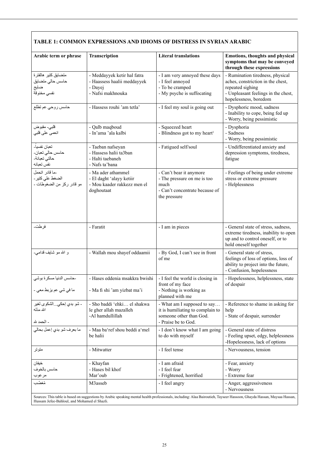| Arabic term or phrase                                           | Transcription                                                                               | <b>Literal translations</b>                                                                                       | <b>Emotions, thoughts and physical</b><br>symptoms that may be conveyed<br>through these expressions                                                      |
|-----------------------------------------------------------------|---------------------------------------------------------------------------------------------|-------------------------------------------------------------------------------------------------------------------|-----------------------------------------------------------------------------------------------------------------------------------------------------------|
| متضايق كتير هالفترة<br>حاسس حالي متضايق<br>ضايج<br>نفسي مخنوقة  | - Meddayyek ketir hal fatra<br>- Haassess haalii meddayyek<br>- Dayej<br>- Nafsi makhnouka  | - I am very annoyed these days<br>- I feel annoyed<br>- To be cramped<br>- My psyche is suffocating               | - Rumination tiredness, physical<br>aches, constriction in the chest,<br>repeated sighing<br>- Unpleasant feelings in the chest,<br>hopelessness, boredom |
| حاسس روحي عم تطلع                                               | - Hassess rouhi 'am tetla'                                                                  | - I feel my soul is going out                                                                                     | - Dysphoric mood, sadness<br>- Inability to cope, being fed up<br>- Worry, being pessimistic                                                              |
| قلبي۔ مقبوض<br>انعمي على قلبي                                   | - Qalb maqboud<br>- In'ama 'ala kalbi                                                       | - Squeezed heart<br>- Blindness got to my heart <sup>1</sup>                                                      | - Dysphoria<br>- Sadness<br>- Worry, being pessimistic                                                                                                    |
| تعبان نفسيا۔<br>حاسس حالي تعبان-<br>حالتي تعبانة-<br>نفس تعبانه | - Taeban nafseyan<br>- Hassess halii ta3ban<br>- Halti taebaneh<br>- Nafs ta'bana           | - Fatigued self/soul                                                                                              | - Undifferentiated anxiety and<br>depression symptoms, tiredness,<br>fatigue                                                                              |
| ـما قادر اتحمل<br>الضغط على كتير ـ<br>مو قادر ركز من الضغوطات ـ | - Ma ader athammel<br>- El daght 'alayy ketiir<br>- Mou kaader rakkezz men el<br>doghoutaat | - Can't bear it anymore<br>- The pressure on me is too<br>much<br>- Can't concentrate because of<br>the pressure  | - Feelings of being under extreme<br>stress or extreme pressure<br>- Helplessness                                                                         |
| فر طت۔                                                          | - Faratit                                                                                   | - I am in pieces                                                                                                  | - General state of stress, sadness,<br>extreme tiredness, inability to open<br>up and to control oneself, or to<br>hold oneself together                  |
| و الله مو شايف قدامـي-                                          | - Wallah mou shayef oddaamii                                                                | - By God, I can't see in front<br>of me                                                                           | - General state of stress,<br>feelings of loss of options, loss of<br>ability to project into the future,<br>- Confusion, hopelessness                    |
| حاسس الدنيا مسكرة بوشى<br>ما في شي عم يزبط معي -                | - Hases eddenia msakkra bwishi<br>- Ma fi shi 'am yizbat ma'i                               | - I feel the world is closing in<br>front of my face<br>- Nothing is working as<br>planned with me                | - Hopelessness, helplessness, state<br>of despair                                                                                                         |
| - شو بدي إحكيالشكوي لغير<br>الله مذله<br>- الحمد لله            | - Sho baddi 'ehki el shakwa<br>le gher allah mazalleh<br>-Al hamdullillah                   | - What am I supposed to say<br>it is humiliating to complain to<br>someone other than God.<br>- Praise be to God. | - Reference to shame in asking for<br>help<br>- State of despair, surrender                                                                               |
| ما بعرف شو بدي إعمل بحالي                                       | - Maa ba'ref shou beddi a'mel<br>be halii                                                   | - I don't know what I am going<br>to do with myself                                                               | - General state of distress<br>- Feeling upset, edgy, helplessness<br>-Hopelessness, lack of options                                                      |
| متوتر                                                           | - Mitwatter                                                                                 | - I feel tense                                                                                                    | - Nervousness, tension                                                                                                                                    |
| خيفان<br>حاسس بالخوف<br>مرعوب                                   | - Khayfan<br>- Hases bil khof<br>Mar'oub                                                    | - I am afraid<br>- I feel fear<br>- Frightened, horrified                                                         | - Fear, anxiety<br>- Worry<br>- Extreme fear                                                                                                              |
| مْعَصِّب                                                        | M3asseb                                                                                     | - I feel angry                                                                                                    | - Anger, aggressiveness<br>- Nervousness                                                                                                                  |

 $\sqrt{ }$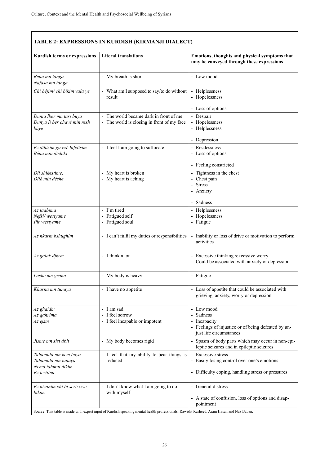| Kurdish terms or expressions                                                   | <b>Literal translations</b>                                                      | Emotions, thoughts and physical symptoms that<br>may be conveyed through these expressions                              |
|--------------------------------------------------------------------------------|----------------------------------------------------------------------------------|-------------------------------------------------------------------------------------------------------------------------|
| Bena mn tanga<br>Nafasa mn tanga                                               | - My breath is short                                                             | - Low mood                                                                                                              |
| Chi béjim/ chi bikim vala ye                                                   | - What am I supposed to say/to do without<br>result                              | - Helplessness<br>- Hopelessness                                                                                        |
| Dunia lber mn tari buya<br>Dunya li ber chavé min resh<br>búye                 | The world became dark in front of me<br>The world is closing in front of my face | - Loss of options<br>- Despair<br>- Hopelessness<br>- Helplessness<br>- Depression                                      |
| Ez dihisim gu ezé bifetisim<br>Béna min dichiki                                | - I feel I am going to suffocate                                                 | - Restlessness<br>- Loss of options,                                                                                    |
| Dil shikestime,<br>Dilé min déshe                                              | - My heart is broken<br>- My heart is aching                                     | - Feeling constricted<br>- Tightness in the chest<br>- Chest pain<br>- Stress<br>- Anxiety<br>- Sadness                 |
| Az taabima<br>Nefsí/westyame<br>Pir westyame                                   | - I'm tired<br>- Fatigued self<br>- Fatigued soul                                | - Helplessness<br>- Hopelessness<br>- Fatigue                                                                           |
| Az nkarm bshughlm                                                              | - I can't fulfil my duties or responsibilities                                   | - Inability or loss of drive or motivation to perform<br>activities                                                     |
| Az galak dfkrm                                                                 | - I think a lot                                                                  | - Excessive thinking /excessive worry<br>- Could be associated with anxiety or depression                               |
| Lashe mn grana                                                                 | - My body is heavy                                                               | - Fatigue                                                                                                               |
| Kharna mn tunaya                                                               | - I have no appetite                                                             | - Loss of appetite that could be associated with<br>grieving, anxiety, worry or depression                              |
| Az ghaidm<br>Az qahrima<br>Az ejzm                                             | - I am sad<br>- I feel sorrow<br>- I feel incapable or impotent                  | - Low mood<br>Sadness<br>- Incapacity<br>- Feelings of injustice or of being defeated by un-<br>just life circumstances |
| Jisme mn sist dbit                                                             | - My body becomes rigid                                                          | - Spasm of body parts which may occur in non-epi-<br>leptic seizures and in epileptic seizures                          |
| Tahamula mn kem buya<br>Tahamula mn tunaya<br>Nema tahmul dikim<br>Ez feritime | - I feel that my ability to bear things is<br>reduced                            | - Excessive stress<br>- Easily losing control over one's emotions<br>- Difficulty coping, handling stress or pressures  |
| Ez nizanim chi bi seré xwe<br>bikim                                            | - I don't know what I am going to do<br>with myself                              | - General distress<br>- A state of confusion, loss of options and disap-<br>pointment                                   |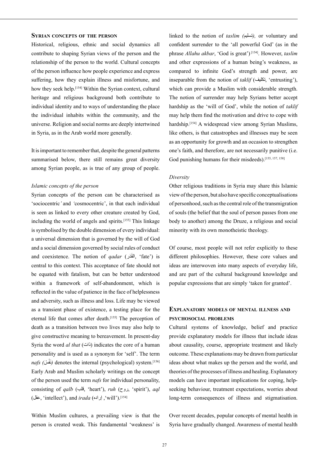#### **Syrian concepts of the person**

Historical, religious, ethnic and social dynamics all contribute to shaping Syrian views of the person and the relationship of the person to the world. Cultural concepts of the person influence how people experience and express suffering, how they explain illness and misfortune, and how they seek help.<sup>[154]</sup> Within the Syrian context, cultural heritage and religious background both contribute to individual identity and to ways of understanding the place the individual inhabits within the community, and the universe. Religion and social norms are deeply intertwined in Syria, as in the Arab world more generally.

It is important to remember that, despite the general patterns summarised below, there still remains great diversity among Syrian people, as is true of any group of people.

#### *Islamic concepts of the person*

Syrian concepts of the person can be characterised as 'sociocentric*'* and *'*cosmocentric', in that each individual is seen as linked to every other creature created by God, including the world of angels and spirits.[155] This linkage is symbolised by the double dimension of every individual: a universal dimension that is governed by the will of God and a social dimension governed by social rules of conduct and coexistence. The notion of *qadar* (المَقَدَر), 'fate') is central to this context. This acceptance of fate should not be equated with fatalism, but can be better understood within a framework of self-abandonment, which is reflected in the value of patience in the face of helplessness and adversity, such as illness and loss. Life may be viewed as a transient phase of existence, a testing place for the eternal life that comes after death.[155] The perception of death as a transition between two lives may also help to give constructive meaning to bereavement. In present-day Syria the word *al that* (ذات) indicates the core of a human personality and is used as a synonym for 'self'. The term ْ ْس*) nafs* نفَ *(*denotes the internal (psychological) system.[156] Early Arab and Muslim scholarly writings on the concept of the person used the term *nafs* for individual personality, consisting of *qalb* (قلب,' heart'), *ruh* (روح,' spirit'), *aql* (vill').<sup>[154]</sup>, إراده), and *irada* (إراده).<sup>[154]</sup>

Within Muslim cultures, a prevailing view is that the person is created weak. This fundamental 'weakness' is linked to the notion of *taslim (*تسليم*)*, or voluntary and confident surrender to the 'all powerful God' (as in the phrase *Allahu akbar*, 'God is great') [154]. However, *taslim* and other expressions of a human being's weakness, as compared to infinite God's strength and power, are inseparable from the notion of *taklif* (تكليف,' entrusting'), which can provide a Muslim with considerable strength. The notion of surrender may help Syrians better accept hardship as the 'will of God', while the notion of *taklif*  may help them find the motivation and drive to cope with hardship.[154] A widespread view among Syrian Muslims, like others, is that catastrophes and illnesses may be seen as an opportunity for growth and an occasion to strengthen one's faith, and therefore, are not necessarily punitive (i.e. God punishing humans for their misdeeds).<sup>[155, 157, 158]</sup>

#### *Diversity*

Other religious traditions in Syria may share this Islamic view of the person, but also have specific conceptualisations of personhood, such as the central role of the transmigration of souls (the belief that the soul of person passes from one body to another) among the Druze, a religious and social minority with its own monotheistic theology.

Of course, most people will not refer explicitly to these different philosophies. However, these core values and ideas are interwoven into many aspects of everyday life, and are part of the cultural background knowledge and popular expressions that are simply 'taken for granted'.

# **Explanatory models of mental illness and psychosocial problems**

Cultural systems of knowledge, belief and practice provide explanatory models for illness that include ideas about causality, course, appropriate treatment and likely outcome. These explanations may be drawn from particular ideas about what makes up the person and the world, and theories of the processes of illness and healing. Explanatory models can have important implications for coping, helpseeking behaviour, treatment expectations, worries about long-term consequences of illness and stigmatisation.

Over recent decades, popular concepts of mental health in Syria have gradually changed. Awareness of mental health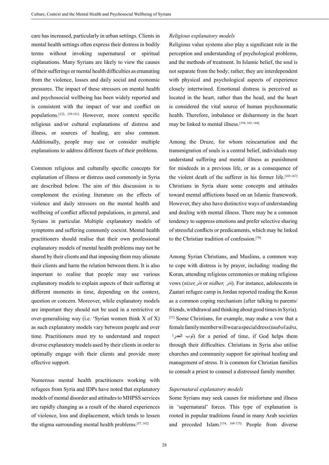care has increased, particularly in urban settings. Clients in mental health settings often express their distress in bodily terms without invoking supernatural or spiritual explanations. Many Syrians are likely to view the causes of their sufferings or mental health difficulties as emanating from the violence, losses and daily social and economic pressures. The impact of these stressors on mental health and psychosocial wellbeing has been widely reported and is consistent with the impact of war and conflict on populations.[122, 159-161] However, more context specific religious and/or cultural explanations of distress and illness, or sources of healing, are also common. Additionally, people may use or consider multiple explanations to address different facets of their problems.

Common religious and culturally specific concepts for explanation of illness or distress used commonly in Syria are described below. The aim of this discussion is to complement the existing literature on the effects of violence and daily stressors on the mental health and wellbeing of conflict affected populations, in general, and Syrians in particular. Multiple explanatory models of symptoms and suffering commonly coexist. Mental health practitioners should realise that their own professional explanatory models of mental health problems may not be shared by their clients and that imposing them may alienate their clients and harm the relation between them. It is also important to realise that people may use various explanatory models to explain aspects of their suffering at different moments in time, depending on the context, question or concern. Moreover, while explanatory models are important they should not be used in a restrictive or over-generalising way (i.e. 'Syrian women think X of X) as such explanatory models vary between people and over time. Practitioners must try to understand and respect diverse explanatory models used by their clients in order to optimally engage with their clients and provide more effective support.

Numerous mental health practitioners working with refugees from Syria and IDPs have noted that explanatory models of mental disorder and attitudes to MHPSS services are rapidly changing as a result of the shared experiences of violence, loss and displacement, which tends to lessen the stigma surrounding mental health problems.[57, 162]

#### *Religious explanatory models*

Religious value systems also play a significant role in the perception and understanding of psychological problems, and the methods of treatment. In Islamic belief, the soul is not separate from the body; rather, they are interdependent with physical and psychological aspects of experience closely intertwined. Emotional distress is perceived as located in the heart, rather than the head, and the heart is considered the vital source of human psychosomatic health. Therefore, imbalance or disharmony in the heart may be linked to mental illness.[158, 163, 164]

Among the Druze, for whom reincarnation and the transmigration of souls is a central belief, individuals may understand suffering and mental illness as punishment for misdeeds in a previous life, or as a consequence of the violent death of the sufferer in his former life.<sup>[165-167]</sup> Christians in Syria share some concepts and attitudes toward mental afflictions based on an Islamic framework. However, they also have distinctive ways of understanding and dealing with mental illness. There may be a common tendency to suppress emotions and prefer selective sharing of stressful conflicts or predicaments, which may be linked to the Christian tradition of confession.<sup>[79]</sup>

Among Syrian Christians, and Muslims, a common way to cope with distress is by prayer, including: reading the Koran, attending religious ceremonies or making religious vows (nizer, نِدر) or *nidher*, (بَندر). For instance, adolescents in Zaatari refugee camp in Jordan reported reading the Koran as a common coping mechanism (after talking to parents/ friends, withdrawal and thinking about good times in Syria). [37] Some Christians, for example, may make a vow that a female family member will wear a special dress (*taub el adra*, العدرا توب (for a period of time, if God helps them through their difficulties. Christians in Syria also utilise churches and community support for spiritual healing and management of stress. It is common for Christian families to consult a priest to counsel a distressed family member.

### *Supernatural explanatory models*

Some Syrians may seek causes for misfortune and illness in 'supernatural' forces. This type of explanation is rooted in popular traditions found in many Arab societies and preceded Islam.<sup>[154, 168-173]</sup> People from diverse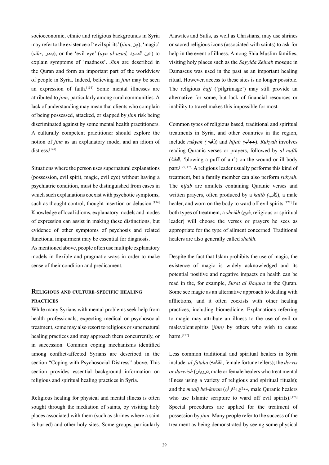socioeconomic, ethnic and religious backgrounds in Syria may refer to the existence of 'evil spirits' (*jinn*, جن), 'magic' (*sihr*, سحرِ( , or the 'evil eye' (*ayn al-asūd,* الحسود عين (to explain symptoms of 'madness'. *Jinn* are described in the Quran and form an important part of the worldview of people in Syria. Indeed, believing in *jinn* may be seen an expression of faith.[154] Some mental illnesses are attributed to *jinn*, particularly among rural communities. A lack of understanding may mean that clients who complain of being possessed, attacked, or slapped by *jinn* risk being discriminated against by some mental health practitioners. A culturally competent practitioner should explore the notion of *jinn* as an explanatory mode, and an idiom of distress.<sup>[149]</sup>

Situations where the person uses supernatural explanations (possession, evil spirit, magic, evil eye) without having a psychiatric condition, must be distinguished from cases in which such explanations coexist with psychotic symptoms, such as thought control, thought insertion or delusion.<sup>[174]</sup> Knowledge of local idioms, explanatory models and modes of expression can assist in making these distinctions, but evidence of other symptoms of psychosis and related functional impairment may be essential for diagnosis.

As mentioned above, people often use multiple explanatory models in flexible and pragmatic ways in order to make sense of their condition and predicament.

### **Religious and culture-specific healing practices**

While many Syrians with mental problems seek help from health professionals, expecting medical or psychosocial treatment, some may also resort to religious or supernatural healing practices and may approach them concurrently, or in succession. Common coping mechanisms identified among conflict-affected Syrians are described in the section "Coping with Psychosocial Distress" above. This section provides essential background information on religious and spiritual healing practices in Syria.

Religious healing for physical and mental illness is often sought through the mediation of saints, by visiting holy places associated with them (such as shrines where a saint is buried) and other holy sites. Some groups, particularly

Alawites and Sufis, as well as Christians, may use shrines or sacred religious icons (associated with saints) to ask for help in the event of illness. Among Shia Muslim families, visiting holy places such as the *Sayyida Zeinab* mosque in Damascus was used in the past as an important healing ritual. However, access to these sites is no longer possible. The religious *hajj* ('pilgrimage') may still provide an alternative for some, but lack of financial resources or inability to travel makes this impossible for most.

Common types of religious based, traditional and spiritual treatments in Syria, and other countries in the region, include *rukyah ( (رُقيه)* and *hijab (*حجاب). *Rukyah* involves reading Quranic verses or prayers, followed by *al nafth* (النفث,' blowing a puff of air') on the wound or ill body part.[175, 176] A religious leader usually performs this kind of treatment, but a family member can also perform *rukyah*. The *hijab* are amulets containing Quranic verses and written prayers, often produced by a *katib (*كاتب), a male healer, and worn on the body to ward off evil spirits.[171] In both types of treatment, a *sheikh* (شيخ, religious or spiritual leader) will choose the verses or prayers he sees as appropriate for the type of ailment concerned. Traditional healers are also generally called *sheikh*.

Despite the fact that Islam prohibits the use of magic, the existence of magic is widely acknowledged and its potential positive and negative impacts on health can be read in the, for example, *Surat al Baqara* in the Quran. Some see magic as an alternative approach to dealing with afflictions, and it often coexists with other healing practices, including biomedicine. Explanations referring to magic may attribute an illness to the use of evil or malevolent spirits (*jinn)* by others who wish to cause harm. $[177]$ 

Less common traditional and spiritual healers in Syria include: *al-fataha* (الفتاحه, female fortune tellers); the *dervis or darwish* (درويش, male or female healers who treat mental illness using a variety of religious and spiritual rituals); and the *moalj bel-koran* (بالقرآن معالج, male Quranic healers who use Islamic scripture to ward off evil spirits).<sup>[178]</sup> Special procedures are applied for the treatment of possession by *jinn*. Many people refer to the success of the treatment as being demonstrated by seeing some physical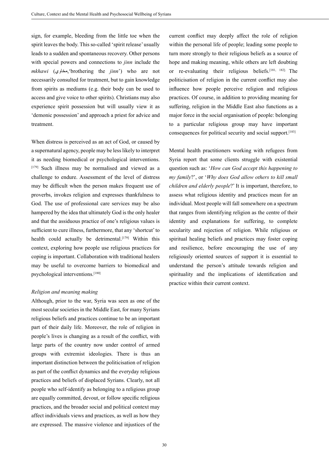sign, for example, bleeding from the little toe when the spirit leaves the body. This so-called 'spirit release' usually leads to a sudden and spontaneous recovery. Other persons with special powers and connections to *jinn* include the *mkhawi* (مخاوي,'brothering the *jinn*') who are not necessarily consulted for treatment, but to gain knowledge from spirits as mediums (e.g. their body can be used to access and give voice to other spirits). Christians may also experience spirit possession but will usually view it as 'demonic possession' and approach a priest for advice and treatment.

When distress is perceived as an act of God, or caused by a supernatural agency, people may be less likely to interpret it as needing biomedical or psychological interventions. [179] Such illness may be normalised and viewed as a challenge to endure. Assessment of the level of distress may be difficult when the person makes frequent use of proverbs, invokes religion and expresses thankfulness to God. The use of professional care services may be also hampered by the idea that ultimately God is the only healer and that the assiduous practice of one's religious values is sufficient to cure illness, furthermore, that any 'shortcut' to health could actually be detrimental.<sup>[179]</sup> Within this context, exploring how people use religious practices for coping is important. Collaboration with traditional healers may be useful to overcome barriers to biomedical and psychological interventions.[180]

#### *Religion and meaning making*

Although, prior to the war, Syria was seen as one of the most secular societies in the Middle East, for many Syrians religious beliefs and practices continue to be an important part of their daily life. Moreover, the role of religion in people's lives is changing as a result of the conflict, with large parts of the country now under control of armed groups with extremist ideologies. There is thus an important distinction between the politicisation of religion as part of the conflict dynamics and the everyday religious practices and beliefs of displaced Syrians. Clearly, not all people who self-identify as belonging to a religious group are equally committed, devout, or follow specific religious practices, and the broader social and political context may affect individuals views and practices, as well as how they are expressed. The massive violence and injustices of the

current conflict may deeply affect the role of religion within the personal life of people; leading some people to turn more strongly to their religious beliefs as a source of hope and making meaning, while others are left doubting or re-evaluating their religious beliefs.[181, 182]. The politicisation of religion in the current conflict may also influence how people perceive religion and religious practices. Of course, in addition to providing meaning for suffering, religion in the Middle East also functions as a major force in the social organisation of people: belonging to a particular religious group may have important consequences for political security and social support.[183]

Mental health practitioners working with refugees from Syria report that some clients struggle with existential question such as: '*How can God accept this happening to my family*?', or '*Why does God allow others to kill small children and elderly people*?' It is important, therefore, to assess what religious identity and practices mean for an individual. Most people will fall somewhere on a spectrum that ranges from identifying religion as the centre of their identity and explanations for suffering, to complete secularity and rejection of religion. While religious or spiritual healing beliefs and practices may foster coping and resilience, before encouraging the use of any religiously oriented sources of support it is essential to understand the person's attitude towards religion and spirituality and the implications of identification and practice within their current context.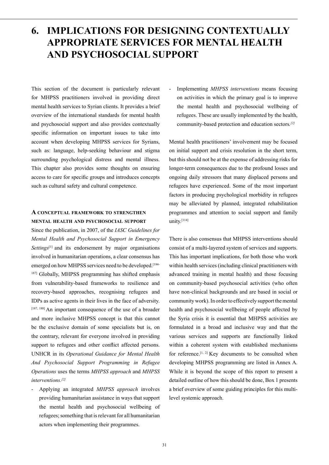# **6.IMPLICATIONS FOR DESIGNING CONTEXTUALLY APPROPRIATE SERVICES FOR MENTAL HEALTH AND PSYCHOSOCIAL SUPPORT**

This section of the document is particularly relevant for MHPSS practitioners involved in providing direct mental health services to Syrian clients. It provides a brief overview of the international standards for mental health and psychosocial support and also provides contextually specific information on important issues to take into account when developing MHPSS services for Syrians, such as: language, help-seeking behaviour and stigma surrounding psychological distress and mental illness. This chapter also provides some thoughts on ensuring access to care for specific groups and introduces concepts such as cultural safety and cultural competence.

### **A conceptual framework to strengthen mental health and psychosocial support**

Since the publication, in 2007, of the *IASC Guidelines for Mental Health and Psychosocial Support in Emergency Settings*<sup>[1]</sup> and its endorsement by major organisations involved in humanitarian operations, a clear consensus has emerged on how MHPSS services need to be developed.<sup>[184-</sup> <sup>187]</sup> Globally, MHPSS programming has shifted emphasis from vulnerability-based frameworks to resilience and recovery-based approaches, recognising refugees and IDPs as active agents in their lives in the face of adversity. [187, 188] An important consequence of the use of a broader and more inclusive MHPSS concept is that this cannot be the exclusive domain of some specialists but is, on the contrary, relevant for everyone involved in providing support to refugees and other conflict affected persons. UNHCR in its *Operational Guidance for Mental Health And Psychosocial Support Programming in Refugee Operations* uses the terms *MHPSS approach* and *MHPSS interventions. [2]*

- Applying an integrated *MHPSS approach* involves providing humanitarian assistance in ways that support the mental health and psychosocial wellbeing of refugees; something that is relevant for all humanitarian actors when implementing their programmes.

- Implementing *MHPSS interventions* means focusing on activities in which the primary goal is to improve the mental health and psychosocial wellbeing of refugees. These are usually implemented by the health, community-based protection and education sectors*. [2]*

Mental health practitioners' involvement may be focused on initial support and crisis resolution in the short term, but this should not be at the expense of addressing risks for longer-term consequences due to the profound losses and ongoing daily stressors that many displaced persons and refugees have experienced. Some of the most important factors in producing psychological morbidity in refugees may be alleviated by planned, integrated rehabilitation programmes and attention to social support and family unity.[114]

There is also consensus that MHPSS interventions should consist of a multi-layered system of services and supports. This has important implications, for both those who work within health services (including clinical practitioners with advanced training in mental health) and those focusing on community-based psychosocial activities (who often have non-clinical backgrounds and are based in social or community work). In order to effectively support the mental health and psychosocial wellbeing of people affected by the Syria crisis it is essential that MHPSS activities are formulated in a broad and inclusive way and that the various services and supports are functionally linked within a coherent system with established mechanisms for reference.<sup>[1, 2]</sup> Key documents to be consulted when developing MHPSS programming are listed in Annex A. While it is beyond the scope of this report to present a detailed outline of how this should be done, Box 1 presents a brief overview of some guiding principles for this multilevel systemic approach.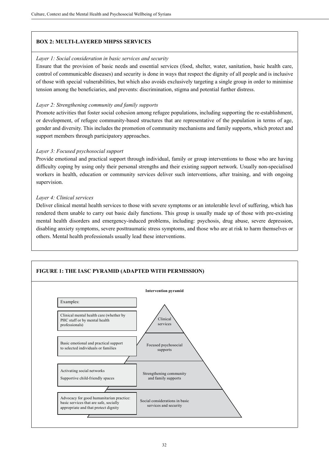## **Box 2: Multi-layered MHPSS services**

### *Layer 1: Social consideration in basic services and security*

Ensure that the provision of basic needs and essential services (food, shelter, water, sanitation, basic health care, control of communicable diseases) and security is done in ways that respect the dignity of all people and is inclusive of those with special vulnerabilities, but which also avoids exclusively targeting a single group in order to minimise tension among the beneficiaries, and prevents: discrimination, stigma and potential further distress.

### *Layer 2: Strengthening community and family supports*

Promote activities that foster social cohesion among refugee populations, including supporting the re-establishment, or development, of refugee community-based structures that are representative of the population in terms of age, gender and diversity. This includes the promotion of community mechanisms and family supports, which protect and support members through participatory approaches.

### *Layer 3: Focused psychosocial support*

Provide emotional and practical support through individual, family or group interventions to those who are having difficulty coping by using only their personal strengths and their existing support network. Usually non-specialised workers in health, education or community services deliver such interventions, after training, and with ongoing supervision.

### *Layer 4: Clinical services*

Deliver clinical mental health services to those with severe symptoms or an intolerable level of suffering, which has rendered them unable to carry out basic daily functions. This group is usually made up of those with pre-existing mental health disorders and emergency-induced problems, including: psychosis, drug abuse, severe depression, disabling anxiety symptoms, severe posttraumatic stress symptoms, and those who are at risk to harm themselves or others. Mental health professionals usually lead these interventions.

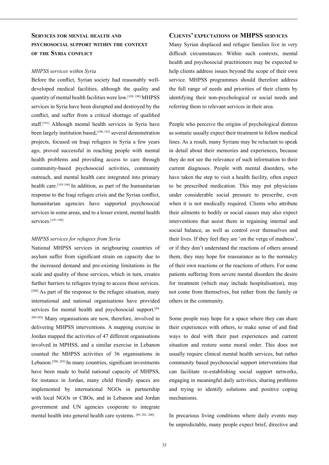# **Services for mental health and psychosocial support within the context of the Syria conflict**

#### *MHPSS services within Syria*

Before the conflict, Syrian society had reasonably welldeveloped medical facilities, although the quality and quantity of mental health facilities were low.[189, 190] MHPSS services in Syria have been disrupted and destroyed by the conflict, and suffer from a critical shortage of qualified staff.[191] Although mental health services in Syria have been largely institution based.<sup>[190, 192]</sup> several demonstration projects, focused on Iraqi refugees in Syria a few years ago, proved successful in reaching people with mental health problems and providing access to care through community-based psychosocial activities, community outreach, and mental health care integrated into primary health care.<sup>[193-196]</sup> In addition, as part of the humanitarian response to the Iraqi refugee crisis and the Syrian conflict, humanitarian agencies have supported psychosocial services in some areas, and to a lesser extent, mental health services.[197-199]

#### *MHPSS services for refugees from Syria*

National MHPSS services in neigbouring countries of asylum suffer from significant strain on capacity due to the increased demand and pre-existing limitations in the scale and quality of these services, which in turn, creates further barriers to refugees trying to access these services. [200] As part of the response to the refugee situation, many international and national organisations have provided services for mental health and psychosocial support.<sup>[69,]</sup> 200-205] Many organisations are now, therefore, involved in delivering MHPSS interventions. A mapping exercise in Jordan mapped the activities of 47 different organisations involved in MPHSS, and a similar exercise in Lebanon counted the MHPSS activities of 36 organisations in Lebanon.<sup>[200, 203]</sup> In many countries, significant investments have been made to build national capacity of MHPSS, for instance in Jordan, many child friendly spaces are implemented by international NGOs in partnership with local NGOs or CBOs, and in Lebanon and Jordan government and UN agencies cooperate to integrate mental health into general health care systems. [69, 201, 206]

### **Clients' expectations of MHPSS services**

Many Syrian displaced and refugee families live in very difficult circumstances. Within such contexts, mental health and psychosocial practitioners may be expected to help clients address issues beyond the scope of their own service. MHPSS programmes should therefore address the full range of needs and priorities of their clients by identifying their non-psychological or social needs and referring them to relevant services in their area.

People who perceive the origins of psychological distress as somatic usually expect their treatment to follow medical lines. As a result, many Syrians may be reluctant to speak in detail about their memories and experiences, because they do not see the relevance of such information to their current diagnoses. People with mental disorders, who have taken the step to visit a health facility, often expect to be prescribed medication. This may put physicians under considerable social pressure to prescribe, even when it is not medically required. Clients who attribute their ailments to bodily or social causes may also expect interventions that assist them in regaining internal and social balance, as well as control over themselves and their lives. If they feel they are 'on the verge of madness', or if they don't understand the reactions of others around them, they may hope for reassurance as to the normalcy of their own reactions or the reactions of others. For some patients suffering from severe mental disorders the desire for treatment (which may include hospitalisation), may not come from themselves, but rather from the family or others in the community.

Some people may hope for a space where they can share their experiences with others, to make sense of and find ways to deal with their past experiences and current situation and restore some moral order. This does not usually require clinical mental health services, but rather community based psychosocial support interventions that can facilitate re-establishing social support networks, engaging in meaningful daily activities, sharing problems and trying to identify solutions and positive coping mechanisms.

In precarious living conditions where daily events may be unpredictable, many people expect brief, directive and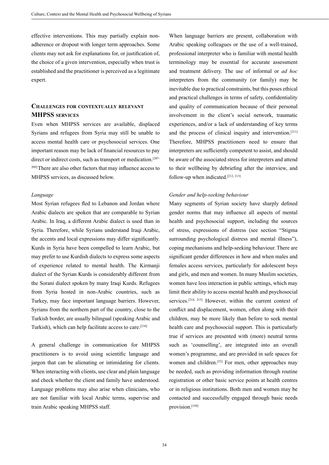effective interventions. This may partially explain nonadherence or dropout with longer term approaches. Some clients may not ask for explanations for, or justification of, the choice of a given intervention, especially when trust is established and the practitioner is perceived as a legitimate expert.

# **Challenges for contextually relevant MHPSS services**

Even when MHPSS services are available, displaced Syrians and refugees from Syria may still be unable to access mental health care or psychosocial services. One important reason may be lack of financial resources to pay direct or indirect costs, such as transport or medication.<sup>[207-</sup> <sup>209]</sup> There are also other factors that may influence access to MHPSS services, as discussed below.

#### *Language*

Most Syrian refugees fled to Lebanon and Jordan where Arabic dialects are spoken that are comparable to Syrian Arabic. In Iraq, a different Arabic dialect is used than in Syria. Therefore, while Syrians understand Iraqi Arabic, the accents and local expressions may differ significantly. Kurds in Syria have been compelled to learn Arabic, but may prefer to use Kurdish dialects to express some aspects of experience related to mental health. The Kirmanji dialect of the Syrian Kurds is considerably different from the Sorani dialect spoken by many Iraqi Kurds. Refugees from Syria hosted in non-Arabic countries, such as Turkey, may face important language barriers. However, Syrians from the northern part of the country, close to the Turkish border, are usually bilingual (speaking Arabic and Turkish), which can help facilitate access to care.[210]

A general challenge in communication for MHPSS practitioners is to avoid using scientific language and jargon that can be alienating or intimidating for clients. When interacting with clients, use clear and plain language and check whether the client and family have understood. Language problems may also arise when clinicians, who are not familiar with local Arabic terms, supervise and train Arabic speaking MHPSS staff.

When language barriers are present, collaboration with Arabic speaking colleagues or the use of a well-trained, professional interpreter who is familiar with mental health terminology may be essential for accurate assessment and treatment delivery. The use of informal or *ad hoc* interpreters from the community (or family) may be inevitable due to practical constraints, but this poses ethical and practical challenges in terms of safety, confidentiality and quality of communication because of their personal involvement in the client's social network, traumatic experiences, and/or a lack of understanding of key terms and the process of clinical inquiry and intervention.[211] Therefore, MHPSS practitioners need to ensure that interpreters are sufficiently competent to assist, and should be aware of the associated stress for interpreters and attend to their wellbeing by debriefing after the interview, and follow-up when indicated.[212, 213]

#### *Gender and help-seeking behaviour*

Many segments of Syrian society have sharply defined gender norms that may influence all aspects of mental health and psychosocial support, including the sources of stress, expressions of distress (see section "Stigma surrounding psychological distress and mental illness"), coping mechanisms and help-seeking behaviour. There are significant gender differences in how and when males and females access services, particularly for adolescent boys and girls, and men and women. In many Muslim societies, women have less interaction in public settings, which may limit their ability to access mental health and psychosocial services.[214, 215] However, within the current context of conflict and displacement, women, often along with their children, may be more likely than before to seek mental health care and psychosocial support. This is particularly true if services are presented with (more) neutral terms such as 'counselling', are integrated into an overall women's programme, and are provided in safe spaces for women and children.<sup>[52]</sup> For men, other approaches may be needed, such as providing information through routine registration or other basic service points at health centres or in religious institutions. Both men and women may be contacted and successfully engaged through basic needs provision.<sup>[144]</sup>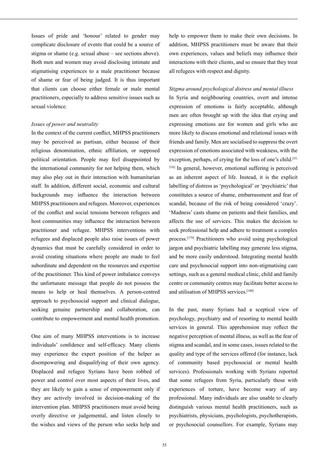Issues of pride and 'honour' related to gender may complicate disclosure of events that could be a source of stigma or shame (e.g. sexual abuse – see sections above). Both men and women may avoid disclosing intimate and stigmatising experiences to a male practitioner because of shame or fear of being judged. It is thus important that clients can choose either female or male mental practitioners, especially to address sensitive issues such as sexual violence.

#### *Issues of power and neutrality*

In the context of the current conflict, MHPSS practitioners may be perceived as partisan, either because of their religious denomination, ethnic affiliation, or supposed political orientation. People may feel disappointed by the international community for not helping them, which may also play out in their interaction with humanitarian staff. In addition, different social, economic and cultural backgrounds may influence the interaction between MHPSS practitioners and refugees. Moreover, experiences of the conflict and social tensions between refugees and host communities may influence the interaction between practitioner and refugee. MHPSS interventions with refugees and displaced people also raise issues of power dynamics that must be carefully considered in order to avoid creating situations where people are made to feel subordinate and dependent on the resources and expertise of the practitioner. This kind of power imbalance conveys the unfortunate message that people do not possess the means to help or heal themselves. A person-centred approach to psychosocial support and clinical dialogue, seeking genuine partnership and collaboration, can contribute to empowerment and mental health promotion.

One aim of many MHPSS interventions is to increase individuals' confidence and self-efficacy. Many clients may experience the expert position of the helper as disempowering and disqualifying of their own agency. Displaced and refugee Syrians have been robbed of power and control over most aspects of their lives, and they are likely to gain a sense of empowerment only if they are actively involved in decision-making of the intervention plan. MHPSS practitioners must avoid being overly directive or judgemental, and listen closely to the wishes and views of the person who seeks help and help to empower them to make their own decisions. In addition, MHPSS practitioners must be aware that their own experiences, values and beliefs may influence their interactions with their clients, and so ensure that they treat all refugees with respect and dignity.

#### *Stigma around psychological distress and mental illness*

In Syria and neighbouring countries, overt and intense expression of emotions is fairly acceptable, although men are often brought up with the idea that crying and expressing emotions are for women and girls who are more likely to discuss emotional and relational issues with friends and family. Men are socialised to suppress the overt expression of emotions associated with weakness, with the exception, perhaps, of crying for the loss of one's child.<sup>[55,]</sup> 216] In general, however, emotional suffering is perceived as an inherent aspect of life. Instead, it is the explicit labelling of distress as 'psychological' or 'psychiatric' that constitutes a source of shame, embarrassment and fear of scandal, because of the risk of being considered 'crazy'. 'Madness' casts shame on patients and their families, and affects the use of services. This makes the decision to seek professional help and adhere to treatment a complex process.[179] Practitioners who avoid using psychological jargon and psychiatric labelling may generate less stigma, and be more easily understood. Integrating mental health care and psychosocial support into non-stigmatising care settings, such as a general medical clinic, child and family centre or community centres may facilitate better access to and utilisation of MHPSS services.<sup>[180]</sup>

In the past, many Syrians had a sceptical view of psychology, psychiatry and of resorting to mental health services in general. This apprehension may reflect the negative perception of mental illness, as well as the fear of stigma and scandal, and in some cases, issues related to the quality and type of the services offered (for instance, lack of community based psychosocial or mental health services). Professionals working with Syrians reported that some refugees from Syria, particularly those with experiences of torture, have become wary of any professional. Many individuals are also unable to clearly distinguish various mental health practitioners, such as psychiatrists, physicians, psychologists, psychotherapists, or psychosocial counsellors. For example, Syrians may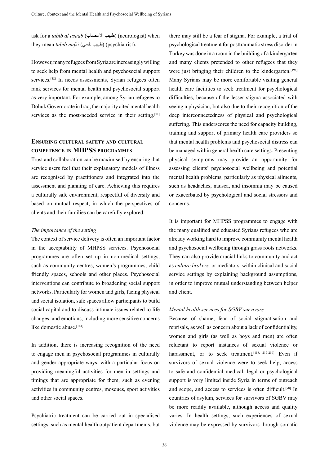ask for a *tabib al asaab* (طبيب الاعصاب) (neurologist) when they mean *tabib nafsi* (نفسي طبيب) (psychiatrist).

However, many refugees from Syria are increasingly willing to seek help from mental health and psychosocial support services.<sup>[58]</sup> In needs assessments, Syrian refugees often rank services for mental health and psychosocial support as very important. For example, among Syrian refugees to Dohuk Governorate in Iraq, the majority cited mental health services as the most-needed service in their setting.<sup>[71]</sup>

# **Ensuring cultural safety and cultural competence in MHPSS programmes**

Trust and collaboration can be maximised by ensuring that service users feel that their explanatory models of illness are recognised by practitioners and integrated into the assessment and planning of care. Achieving this requires a culturally safe environment, respectful of diversity and based on mutual respect, in which the perspectives of clients and their families can be carefully explored.

#### *The importance of the setting*

The context of service delivery is often an important factor in the acceptability of MHPSS services. Psychosocial programmes are often set up in non-medical settings, such as community centres, women's programmes, child friendly spaces, schools and other places. Psychosocial interventions can contribute to broadening social support networks. Particularly for women and girls, facing physical and social isolation, safe spaces allow participants to build social capital and to discuss intimate issues related to life changes, and emotions, including more sensitive concerns like domestic abuse.<sup>[144]</sup>

In addition, there is increasing recognition of the need to engage men in psychosocial programmes in culturally and gender appropriate ways, with a particular focus on providing meaningful activities for men in settings and timings that are appropriate for them, such as evening activities in community centres, mosques, sport activities and other social spaces.

Psychiatric treatment can be carried out in specialised settings, such as mental health outpatient departments, but there may still be a fear of stigma. For example, a trial of psychological treatment for posttraumatic stress disorder in Turkey was done in a room in the building of a kindergarten and many clients pretended to other refugees that they were just bringing their children to the kindergarten.<sup>[194]</sup> Many Syrians may be more comfortable visiting general health care facilities to seek treatment for psychological difficulties, because of the lesser stigma associated with seeing a physician, but also due to their recognition of the deep interconnectedness of physical and psychological suffering. This underscores the need for capacity building, training and support of primary health care providers so that mental health problems and psychosocial distress can be managed within general health care settings. Presenting physical symptoms may provide an opportunity for assessing clients' psychosocial wellbeing and potential mental health problems, particularly as physical ailments, such as headaches, nausea, and insomnia may be caused or exacerbated by psychological and social stressors and concerns.

It is important for MHPSS programmes to engage with the many qualified and educated Syrians refugees who are already working hard to improve community mental health and psychosocial wellbeing through grass roots networks. They can also provide crucial links to community and act as *culture brokers,* or mediators, within clinical and social service settings by explaining background assumptions, in order to improve mutual understanding between helper and client.

#### *Mental health services for SGBV survivors*

Because of shame, fear of social stigmatisation and reprisals, as well as concern about a lack of confidentiality, women and girls (as well as boys and men) are often reluctant to report instances of sexual violence or harassment, or to seek treatment.<sup>[118, 217-219]</sup> Even if survivors of sexual violence were to seek help, access to safe and confidential medical, legal or psychological support is very limited inside Syria in terms of outreach and scope, and access to services is often difficult.[98] In countries of asylum, services for survivors of SGBV may be more readily available, although access and quality varies. In health settings, such experiences of sexual violence may be expressed by survivors through somatic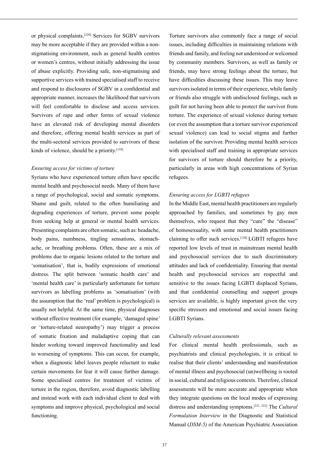or physical complaints.[220] Services for SGBV survivors may be more acceptable if they are provided within a nonstigmatising environment, such as general health centres or women's centres, without initially addressing the issue of abuse explicitly. Providing safe, non-stigmatising and supportive services with trained specialised staff to receive and respond to disclosures of SGBV in a confidential and appropriate manner, increases the likelihood that survivors will feel comfortable to disclose and access services. Survivors of rape and other forms of sexual violence have an elevated risk of developing mental disorders and therefore, offering mental health services as part of the multi-sectoral services provided to survivors of these kinds of violence, should be a priority.[110]

#### *Ensuring access for victims of torture*

Syrians who have experienced torture often have specific mental health and psychosocial needs. Many of them have a range of psychological, social and somatic symptoms. Shame and guilt, related to the often humiliating and degrading experiences of torture, prevent some people from seeking help at general or mental health services. Presenting complaints are often somatic, such as: headache, body pains, numbness, tingling sensations, stomachache, or breathing problems. Often, these are a mix of problems due to organic lesions related to the torture and 'somatisation', that is, bodily expressions of emotional distress. The split between 'somatic health care' and 'mental health care' is particularly unfortunate for torture survivors as labelling problems as 'somatisation' (with the assumption that the 'real' problem is psychological) is usually not helpful. At the same time, physical diagnoses without effective treatment (for example, 'damaged spine' or 'torture-related neuropathy') may trigger a process of somatic fixation and maladaptive coping that can hinder working toward improved functionality and lead to worsening of symptoms. This can occur, for example, when a diagnostic label leaves people reluctant to make certain movements for fear it will cause further damage. Some specialised centres for treatment of victims of torture in the region, therefore, avoid diagnostic labelling and instead work with each individual client to deal with symptoms and improve physical, psychological and social functioning.

Torture survivors also commonly face a range of social issues, including difficulties in maintaining relations with friends and family, and feeling not understood or welcomed by community members. Survivors, as well as family or friends, may have strong feelings about the torture, but have difficulties discussing these issues. This may leave survivors isolated in terms of their experience, while family or friends also struggle with undisclosed feelings, such as guilt for not having been able to protect the survivor from torture. The experience of sexual violence during torture (or even the assumption that a torture survivor experienced sexual violence) can lead to social stigma and further isolation of the survivor. Providing mental health services with specialised staff and training in appropriate services for survivors of torture should therefore be a priority, particularly in areas with high concentrations of Syrian refugees.

#### *Ensuring access for LGBTI refugees*

In the Middle East, mental health practitioners are regularly approached by families, and sometimes by gay men themselves, who request that they "cure" the "disease" of homosexuality, with some mental health practitioners claiming to offer such services.[128] LGBTI refugees have reported low levels of trust in mainstream mental health and psychosocial services due to such discriminatory attitudes and lack of confidentiality. Ensuring that mental health and psychosocial services are respectful and sensitive to the issues facing LGBTI displaced Syrians, and that confidential counselling and support groups services are available, is highly important given the very specific stressors and emotional and social issues facing LGBTI Syrians.

#### *Culturally relevant assessments*

For clinical mental health professionals, such as psychiatrists and clinical psychologists, it is critical to realise that their clients' understanding and manifestation of mental illness and psychosocial (un)wellbeing is rooted in social, cultural and religious contexts. Therefore, clinical assessments will be more accurate and appropriate when they integrate questions on the local modes of expressing distress and understanding symptoms.[221, 222] The *Cultural Formulation Interview* in the Diagnostic and Statistical Manual (*DSM-5)* of the American Psychiatric Association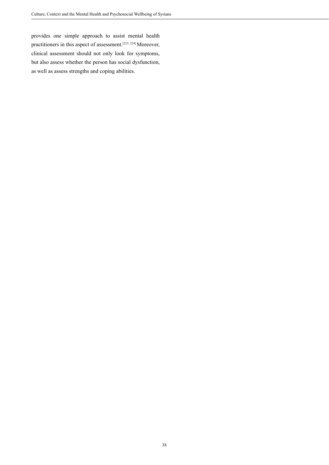provides one simple approach to assist mental health practitioners in this aspect of assessment.[223, 224] Moreover, clinical assessment should not only look for symptoms, but also assess whether the person has social dysfunction, as well as assess strengths and coping abilities.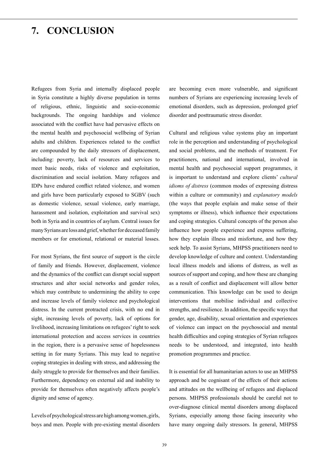# **7. CONCLUSION**

Refugees from Syria and internally displaced people in Syria constitute a highly diverse population in terms of religious, ethnic, linguistic and socio-economic backgrounds. The ongoing hardships and violence associated with the conflict have had pervasive effects on the mental health and psychosocial wellbeing of Syrian adults and children. Experiences related to the conflict are compounded by the daily stressors of displacement, including: poverty, lack of resources and services to meet basic needs, risks of violence and exploitation, discrimination and social isolation. Many refugees and IDPs have endured conflict related violence, and women and girls have been particularly exposed to SGBV (such as domestic violence, sexual violence, early marriage, harassment and isolation, exploitation and survival sex) both in Syria and in countries of asylum. Central issues for many Syrians are loss and grief, whether for deceased family members or for emotional, relational or material losses.

For most Syrians, the first source of support is the circle of family and friends. However, displacement, violence and the dynamics of the conflict can disrupt social support structures and alter social networks and gender roles, which may contribute to undermining the ability to cope and increase levels of family violence and psychological distress. In the current protracted crisis, with no end in sight, increasing levels of poverty, lack of options for livelihood, increasing limitations on refugees' right to seek international protection and access services in countries in the region, there is a pervasive sense of hopelessness setting in for many Syrians. This may lead to negative coping strategies in dealing with stress, and addressing the daily struggle to provide for themselves and their families. Furthermore, dependency on external aid and inability to provide for themselves often negatively affects people's dignity and sense of agency.

Levels of psychological stress are high among women, girls, boys and men. People with pre-existing mental disorders are becoming even more vulnerable, and significant numbers of Syrians are experiencing increasing levels of emotional disorders, such as depression, prolonged grief disorder and posttraumatic stress disorder.

Cultural and religious value systems play an important role in the perception and understanding of psychological and social problems, and the methods of treatment. For practitioners, national and international, involved in mental health and psychosocial support programmes, it is important to understand and explore clients' *cultural idioms of distress* (common modes of expressing distress within a culture or community) and *explanatory models* (the ways that people explain and make sense of their symptoms or illness), which influence their expectations and coping strategies. Cultural concepts of the person also influence how people experience and express suffering, how they explain illness and misfortune, and how they seek help. To assist Syrians, MHPSS practitioners need to develop knowledge of culture and context. Understanding local illness models and idioms of distress, as well as sources of support and coping, and how these are changing as a result of conflict and displacement will allow better communication. This knowledge can be used to design interventions that mobilise individual and collective strengths, and resilience. In addition, the specific ways that gender, age, disability, sexual orientation and experiences of violence can impact on the psychosocial and mental health difficulties and coping strategies of Syrian refugees needs to be understood, and integrated, into health promotion programmes and practice.

It is essential for all humanitarian actors to use an MHPSS approach and be cognisant of the effects of their actions and attitudes on the wellbeing of refugees and displaced persons. MHPSS professionals should be careful not to over-diagnose clinical mental disorders among displaced Syrians, especially among those facing insecurity who have many ongoing daily stressors. In general, MHPSS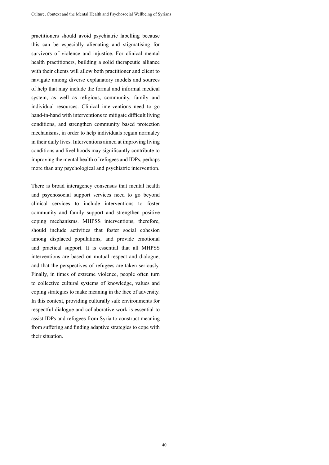practitioners should avoid psychiatric labelling because this can be especially alienating and stigmatising for survivors of violence and injustice. For clinical mental health practitioners, building a solid therapeutic alliance with their clients will allow both practitioner and client to navigate among diverse explanatory models and sources of help that may include the formal and informal medical system, as well as religious, community, family and individual resources. Clinical interventions need to go hand-in-hand with interventions to mitigate difficult living conditions, and strengthen community based protection mechanisms, in order to help individuals regain normalcy in their daily lives. Interventions aimed at improving living conditions and livelihoods may significantly contribute to improving the mental health of refugees and IDPs, perhaps more than any psychological and psychiatric intervention.

There is broad interagency consensus that mental health and psychosocial support services need to go beyond clinical services to include interventions to foster community and family support and strengthen positive coping mechanisms. MHPSS interventions, therefore, should include activities that foster social cohesion among displaced populations, and provide emotional and practical support. It is essential that all MHPSS interventions are based on mutual respect and dialogue, and that the perspectives of refugees are taken seriously. Finally, in times of extreme violence, people often turn to collective cultural systems of knowledge, values and coping strategies to make meaning in the face of adversity. In this context, providing culturally safe environments for respectful dialogue and collaborative work is essential to assist IDPs and refugees from Syria to construct meaning from suffering and finding adaptive strategies to cope with their situation.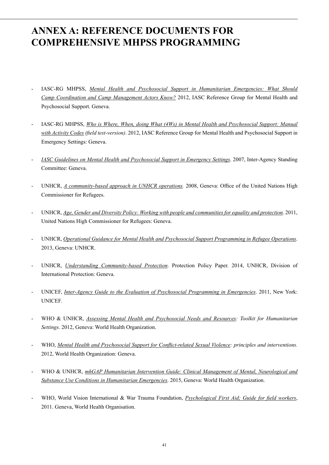# **Annex A: Reference documents for comprehensive MHPSS programming**

- IASC-RG MHPSS, *[Mental Health and Psychosocial Support in Humanitarian Emergencies: What Should](http://www.who.int/mental_health/emergencies/what_humanitarian_health_actors_should_know.pdf)  [Camp Coordination and Camp Management Actors Know?](http://www.who.int/mental_health/emergencies/what_humanitarian_health_actors_should_know.pdf)* 2012, IASC Reference Group for Mental Health and Psychosocial Support. Geneva.
- IASC-RG MHPSS, *[Who is Where, When, doing What \(4Ws\) in Mental Health and Psychosocial Support: Manual](http://www.who.int/mental_health/publications/iasc_4ws.pdf)  [with Activity Codes](http://www.who.int/mental_health/publications/iasc_4ws.pdf) (field test-version)*. 2012, IASC Reference Group for Mental Health and Psychosocial Support in Emergency Settings: Geneva.
- *[IASC Guidelines on Mental Health and Psychosocial Support in Emergency Settings](http://www.who.int/mental_health/emergencies/guidelines_iasc_mental_health_psychosocial_june_2007.pdf)*. 2007, Inter-Agency Standing Committee: Geneva.
- UNHCR, *[A community-based approach in UNHCR operations](http://www.unhcr.org/47ed0e212.html).* 2008, Geneva: Office of the United Nations High Commissioner for Refugees.
- UNHCR, *[Age, Gender and Diversity Policy: Working with people and communities for equality and protection](http://www.unhcr.org/4e7757449.html)*. 2011, United Nations High Commissioner for Refugees: Geneva.
- UNHCR, *[Operational Guidance for Mental Health and Psychosocial Support Programming in Refugee Operations](http://www.unhcr.org/525f94479.pdf)*. 2013, Geneva: UNHCR.
- UNHCR, *[Understanding Community-based Protection](http://www.refworld.org/docid/5209f0b64.html)*. Protection Policy Paper. 2014, UNHCR, Division of International Protection: Geneva.
- UNICEF, *[Inter-Agency Guide to the Evaluation of Psychosocial Programming in Emergencies](http://www.unicef.org/protection/files/Inter-AgencyGuidePSS.pdf)*. 2011, New York: UNICEF.
- WHO & UNHCR, *Assessing Mental Health and Psychosocial Needs and Resources: Toolkit for Humanitarian Settings*. 2012, Geneva: World Health Organization.
- WHO, *[Mental Health and Psychosocial Support for Conflict-related Sexual Violence](http://www.who.int/reproductivehealth/publications/violence/rhr12_18/en/): principles and interventions.* 2012, World Health Organization: Geneva.
- WHO & UNHCR, *mhGAP Humanitarian Intervention Guide: Clinical Management of Mental, Neurological and [Substance Use Conditions in Humanitarian Emergencies](http://www.who.int/mental_health/publications/mhgap_hig/en/)*. 2015, Geneva: World Health Organization.
- WHO, World Vision International & War Trauma Foundation, *[Psychological First Aid; Guide for field workers](http://apps.who.int/iris/bitstream/10665/44615/1/9789241548205_eng.pdf)*, 2011. Geneva, World Health Organisation.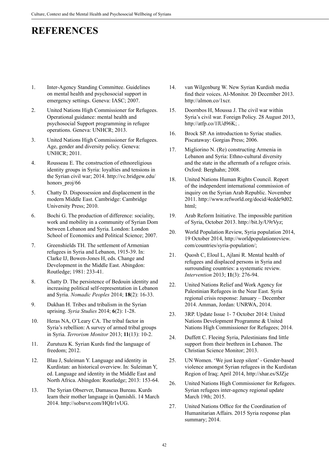# **REFERENCES**

- 1. Inter-Agency Standing Committee. Guidelines on mental health and psychosocial support in emergency settings. Geneva: IASC; 2007.
- 2. United Nations High Commissioner for Refugees. Operational guidance: mental health and psychosocial Support programming in refugee operations. Geneva: UNHCR; 2013.
- 3. United Nations High Commissioner for Refugees. Age, gender and diversity policy. Geneva: UNHCR; 2011.
- 4. Rousseau E. The construction of ethnoreligious identity groups in Syria: loyalties and tensions in the Syrian civil war; 2014. http://vc.bridgew.edu/ honors proj/66
- 5. Chatty D. Dispossession and displacement in the modern Middle East. Cambridge: Cambridge University Press; 2010.
- 6. Bochi G. The production of difference: sociality, work and mobility in a community of Syrian Dom between Lebanon and Syria. London: London School of Economics and Political Science; 2007.
- 7. Greenshields TH. The settlement of Armenian refugees in Syria and Lebanon, 1915-39. In: Clarke IJ, Bowen-Jones H, eds. Change and Development in the Middle East. Abingdon: Routledge; 1981: 233-41.
- 8. Chatty D. The persistence of Bedouin identity and increasing political self-representation in Lebanon and Syria. *Nomadic Peoples* 2014; **18**(2): 16-33.
- 9. Dukhan H. Tribes and tribalism in the Syrian uprising. *Syria Studies* 2014; **6**(2): 1-28.
- 10. Heras NA, O'Leary CA. The tribal factor in Syria's rebellion: A survey of armed tribal groups in Syria. *Terrorism Monitor* 2013; **11**(13): 10-2.
- 11. Zurutuza K. Syrian Kurds find the language of freedom; 2012.
- 12. Blau J, Suleiman Y. Language and identity in Kurdistan: an historical overview. In: Suleiman Y, ed. Language and identity in the Middle East and North Africa. Abingdon: Routledge; 2013: 153-64.
- 13. The Syrian Observer, Damascus Bureau. Kurds learn their mother language in Qamishli. 14 March 2014. [http://sobsrvr.com/HQIr1vUG.](http://sobsrvr.com/HQIr1vUG)
- 14. van Wilgenburg W. New Syrian Kurdish media find their voices. Al-Monitor. 20 December 2013. <http://almon.co/1xcr>.
- 15. Doornbos H, Moussa J. The civil war within Syria's civil war. Foreign Policy. 28 August 2013, http://atfp.co/1lUd96K;.
- 16. Brock SP. An introduction to Syriac studies. Piscataway: Gorgias Press; 2006.
- 17. Migliorino N. (Re) constructing Armenia in Lebanon and Syria: Ethno-cultural diversity and the state in the aftermath of a refugee crisis. Oxford: Berghahn; 2008.
- 18. United Nations Human Rights Council. Report of the independent international commission of inquiry on the Syrian Arab Republic. November 2011. [http://www.refworld.org/docid/4edde9d02.](http://www.refworld.org/docid/4edde9d02.html;) [html;](http://www.refworld.org/docid/4edde9d02.html;)
- 19. Arab Reform Initiative. The impossible partition of Syria, October 2013.<http://bit.ly/U9rVyz;>
- 20. World Population Review, Syria population 2014, 19 October 2014, [http://worldpopulationreview.](http://worldpopulationreview.com/countries/syria-population/;) [com/countries/syria-population/;](http://worldpopulationreview.com/countries/syria-population/;)
- 21. Quosh C, Eloul L, Ajlani R. Mental health of refugees and displaced persons in Syria and surrounding countries: a systematic review. *Intervention* 2013; **11**(3): 276-94.
- 22. United Nations Relief and Work Agency for Palestinian Refugees in the Near East. Syria regional crisis response: January – December 2014. Amman, Jordan: UNRWA, 2014.
- 23. 3RP. Update Issue 1- 7 October 2014: United Nations Development Programme & United Nations High Commissioner for Refugees; 2014.
- 24. Duffett C. Fleeing Syria, Palestinians find little support from their brethren in Lebanon. The Christian Science Monitor; 2013.
- 25. UN Women. 'We just keep silent' Gender-based violence amongst Syrian refugees in the Kurdistan Region of Iraq; April 2014,<http://shar.es/SJZje>
- 26. United Nations High Commissioner for Refugees. Syrian refugees inter-agency regional update March 19th; 2015.
- 27. United Nations Office for the Coordination of Humanitarian Affairs. 2015 Syria response plan summary; 2014.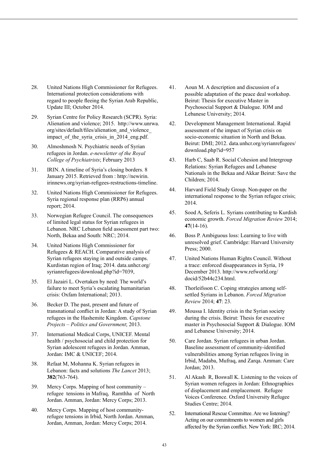- 28. United Nations High Commissioner for Refugees. International protection considerations with regard to people fleeing the Syrian Arab Republic, Update III; October 2014.
- 29. Syrian Centre for Policy Research (SCPR). Syria: Alienation and violence; 2015. [http://www.unrwa.](http://www.unrwa.org/sites/default/files/alienation_and_violence_impact_of_the_syria_crisis_in_2014_eng.pdf.) [org/sites/default/files/alienation\\_and\\_violence\\_](http://www.unrwa.org/sites/default/files/alienation_and_violence_impact_of_the_syria_crisis_in_2014_eng.pdf.) impact of the syria crisis in 2014 eng.pdf.
- 30. Almoshmosh N. Psychiatric needs of Syrian refugees in Jordan. *e-newsletter of the Royal College of Psychiatrists*; February 2013
- 31. IRIN. A timeline of Syria's closing borders. 8 January 2015. Retrieved from : http://newirin. irinnews.org/syrian-refigees-restructions-timeline.
- 32. United Nations High Commissioner for Refugees. Syria regional response plan (RRP6) annual report; 2014.
- 33. Norwegian Refugee Council. The consequences of limited legal status for Syrian refugees in Lebanon. NRC Lebanon field assessment part two: North, Bekaa and South: NRC; 2014.
- 34. United Nations High Commissioner for Refugees & REACH. Comparative analysis of Syrian refugees staying in and outside camps. Kurdistan region of Iraq; 2014. data.unhcr.org/ syrianrefugees/download.php?id=7039,
- 35. El Jazairi L. Overtaken by need: The world's failure to meet Syria's escalating humanitarian crisis: Oxfam International; 2013.
- 36. Becker D. The past, present and future of transnational conflict in Jordan: A study of Syrian refugees in the Hashemite Kingdom. *Capstone Projects – Politics and Government*; 2013.
- 37. International Medical Corps, UNICEF. Mental health / psychosocial and child protection for Syrian adolescent refugees in Jordan. Amman, Jordan: IMC & UNICEF; 2014.
- 38. Refaat M, Mohanna K. Syrian refugees in Lebanon: facts and solutions *The Lancet* 2013; **382**(763-764).
- 39. Mercy Corps. Mapping of host community refugee tensions in Mafraq, Ramthha of North Jordan. Amman, Jordan: Mercy Corps; 2013.
- 40. Mercy Corps. Mapping of host communityrefugee tensions in Irbid, North Jordan. Amman, Jordan, Amman, Jordan: Mercy Corps; 2014.
- 41. Aoun M. A description and discussion of a possible adaptation of the peace deal workshop. Beirut: Thesis for executive Master in Psychosocial Support & Dialogue. IOM and Lebanese University; 2014.
- 42. Development Management International. Rapid assessment of the impact of Syrian crisis on socio-economic situation in North and Bekaa. Beirut: DMI; 2012. data.unhcr.org/syrianrefugees/ download.php?id=957
- 43. Harb C, Saab R. Social Cohesion and Intergroup Relations: Syrian Refugees and Lebanese Nationals in the Bekaa and Akkar Beirut: Save the Children; 2014.
- 44. Harvard Field Study Group. Non-paper on the international response to the Syrian refugee crisis; 2014.
- 45. Sood A, Seferis L. Syrians contributing to Kurdish economic growth. *Forced Migration Review* 2014; **47**(14-16).
- 46. Boss P. Ambiguous loss: Learning to live with unresolved grief. Cambridge: Harvard University Press; 2000.
- 47. United Nations Human Rights Council. Without a trace: enforced disappearances in Syria, 19 December 2013. [http://www.refworld.org/](http://www.refworld.org/docid/52b44c234.html) [docid/52b44c234.html.](http://www.refworld.org/docid/52b44c234.html)
- 48. Thorleifsson C. Coping strategies among selfsettled Syrians in Lebanon. *Forced Migration Review* 2014; **47**: 23.
- 49. Moussa I. Identity crisis in the Syrian society during the crisis. Beirut: Thesis for executive master in Psychosocial Support & Dialogue. IOM and Lebanese University; 2014.
- 50. Care Jordan. Syrian refugees in urban Jordan. Baseline assessment of community-identified vulnerabilities among Syrian refugees living in Irbid, Madaba, Mufraq, and Zarqa. Amman: Care Jordan; 2013.
- 51. Al Akash R, Boswall K. Listening to the voices of Syrian women refugees in Jordan: Ethnographies of displacement and emplacement. Refugee Voices Conference. Oxford University Refugee Studies Centre; 2014.
- 52. International Rescue Committee. Are we listening? Acting on our commitments to women and girls affected by the Syrian conflict. New York: IRC; 2014.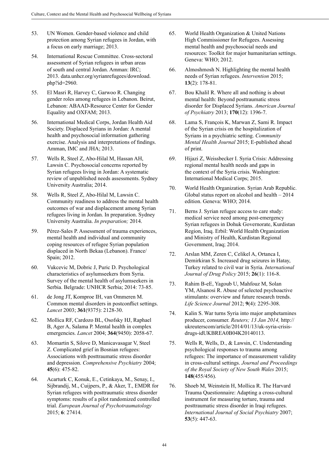- 53. UN Women. Gender-based violence and child protection among Syrian refugees in Jordan, with a focus on early marriage; 2013.
- 54. International Rescue Committee. Cross-sectoral assessment of Syrian refugees in urban areas of south and central Jordan. Amman: IRC; 2013. data.unhcr.org/syrianrefugees/download. php?id=2960.
- 55. El Masri R, Harvey C, Garwoo R. Changing gender roles among refugees in Lebanon. Beirut, Lebanon: ABAAD-Resource Center for Gender Equality and OXFAM; 2013.
- 56. International Medical Corps, Jordan Health Aid Society. Displaced Syrians in Jordan: A mental health and psychosocial information gathering exercise. Analysis and interpretations of findings. Amman, IMC and JHA; 2013.
- 57. Wells R, Steel Z, Abo-Hilal M, Hassan AH, Lawsin C. Psychosocial concerns reported by Syrian refugees living in Jordan: A systematic review of unpublished needs assessments. Sydney University Australia; 2014.
- 58. Wells R, Steel Z, Abo-Hilal M, Lawsin C. Community readiness to address the mental health outcomes of war and displacement among Syrian refugees living in Jordan. In preparation. Sydney University Australia. *In preparation;* 2014.
- 59. Pérez-Sales P. Assessment of trauma experiences, mental health and individual and community coping resources of refugee Syrian population displaced in North Bekaa (Lebanon). France/ Spain; 2012.
- 60. Vukcevic M, Dobric J, Puric D. Psychological characteristics of asylumseekers from Syria. Survey of the mental health of asylumseekers in Serbia. Belgrade: UNHCR Serbia; 2014: 73-85.
- 61. de Jong JT, Komproe IH, van Ommeren M. Common mental disorders in postconflict settings. *Lancet* 2003; **361**(9375): 2128-30.
- 62. Mollica RF, Cardozo BL, Osofsky HJ, Raphael B, Ager A, Salama P. Mental health in complex emergencies. *Lancet* 2004; **364**(9450): 2058-67.
- 63. Momartin S, Silove D, Manicavasagar V, Steel Z. Complicated grief in Bosnian refugees: Associations with posttraumatic stress disorder and depression. *Comprehensive Psychiatry* 2004; **45**(6): 475-82.
- 64. Acarturk C, Konuk, E., Cetinkaya, M., Senay, I., Sijbrandij, M., Cuijpers, P., & Aker, T., EMDR for Syrian refugees with posttraumatic stress disorder symptoms: results of a pilot randomized controlled trial. *European Journal of Psychotraumatology* 2015; **6**: 27414.
- 65. World Health Organization & United Nations High Commissioner for Refugees. Assessing mental health and psychosocial needs and resources: Toolkit for major humanitarian settings. Geneva: WHO; 2012.
- 66. Almoshmosh N. Highlighting the mental health needs of Syrian refugees. *Intervention* 2015; **13**(2): 178-81.
- 67. Bou Khalil R. Where all and nothing is about mental health: Beyond posttraumatic stress disorder for Displaced Syrians. *American Journal of Psychiatry* 2013; **170**(12): 1396-7.
- 68. Lama S, François K, Marwan Z, Sami R. Impact of the Syrian crisis on the hospitalization of Syrians in a psychiatric setting. *Community Mental Health Journal* 2015; E-published ahead of print.
- 69. Hijazi Z, Weissbecker I. Syria Crisis: Addressing regional mental health needs and gaps in the context of the Syria crisis. Washington: International Medical Corps; 2015.
- 70. World Health Organization. Syrian Arab Republic. Global status report on alcohol and health – 2014 edition. Geneva: WHO; 2014.
- 71. Berns J. Syrian refugee access to care study: medical service need among post-emergency Syrian refugees in Dohuk Governorate, Kurdistan Region, Iraq. Erbil: World Health Organization and Ministry of Health, Kurdistan Regional Government, Iraq; 2014.
- 72. Arslan MM, Zeren C, Celikel A, Ortanca I, Demirkiran S. Increased drug seizures in Hatay, Turkey related to civil war in Syria. *International Journal of Drug Policy* 2015; **26**(1): 116-8.
- 73. Rahim B-eE, Yagoub U, Mahfouz M, Solan YM, Alsanosi R. Abuse of selected psychoactive stimulants: overview and future research trends. *Life Science Journal* 2012; **9**(4): 2295-308.
- 74. Kalin S. War turns Syria into major amphetamines producer, consumer. *Reuters; 13 Jan 2014,* [http://](http://ukreuterscom/article/2014/01/13/uk-syria-crisis-drugs-idUKBREA0B04K20140113) [ukreuterscom/article/2014/01/13/uk-syria-crisis](http://ukreuterscom/article/2014/01/13/uk-syria-crisis-drugs-idUKBREA0B04K20140113)[drugs-idUKBREA0B04K20140113](http://ukreuterscom/article/2014/01/13/uk-syria-crisis-drugs-idUKBREA0B04K20140113).
- 75. Wells R, Wells, D., & Lawsin, C. Understanding psychological responses to trauma among refugees: The importance of measurement validity in cross-cultural settings. *Journal and Proceedings of the Royal Society of New South Wales* 2015; **148**(455/456).
- 76. Shoeb M, Weinstein H, Mollica R. The Harvard Trauma Questionnaire: Adapting a cross-cultural instrument for measuring torture, trauma and posttraumatic stress disorder in Iraqi refugees. *International Journal of Social Psychiatry* 2007; **53**(5): 447-63.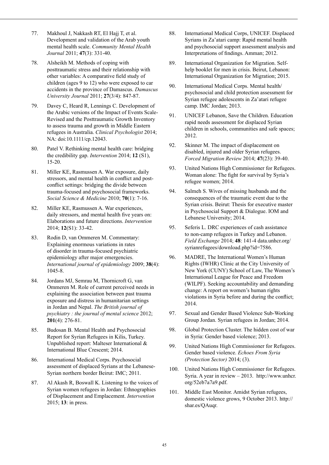- 77. Makhoul J, Nakkash RT, El Hajj T, et al. Development and validation of the Arab youth mental health scale. *Community Mental Health Journal* 2011; **47**(3): 331-40.
- 78. Alsheikh M. Methods of coping with posttraumatic stress and their relationship with other variables: A comparative field study of children (ages 9 to 12) who were exposed to car accidents in the province of Damascus. *Damascus University Journal* 2011; **27**(3/4): 847-87.
- 79. Davey C, Heard R, Lennings C. Development of the Arabic versions of the Impact of Events Scale-Revised and the Posttraumatic Growth Inventory to assess trauma and growth in Middle Eastern refugees in Australia. *Clinical Psychologist* 2014; NA: doi:10.1111/cp.12043.
- 80. Patel V. Rethinking mental health care: bridging the credibility gap. *Intervention* 2014; **12** (S1), 15-20.
- 81. Miller KE, Rasmussen A. War exposure, daily stressors, and mental health in conflict and postconflict settings: bridging the divide between trauma-focused and psychosocial frameworks. *Social Science & Medicine* 2010; **70**(1): 7-16.
- 82. Miller KE, Rasmussen A. War experiences, daily stressors, and mental health five years on: Elaborations and future directions. *Intervention* 2014; **12**(S1): 33-42.
- 83. Rodin D, van Ommeren M. Commentary: Explaining enormous variations in rates of disorder in trauma-focused psychiatric epidemiology after major emergencies. *International journal of epidemiology* 2009; **38**(4): 1045-8.
- 84. Jordans MJ, Semrau M, Thornicroft G, van Ommeren M. Role of current perceived needs in explaining the association between past trauma exposure and distress in humanitarian settings in Jordan and Nepal. *The British journal of psychiatry : the journal of mental science* 2012; **201**(4): 276-81.
- 85. Budosan B. Mental Health and Psychosocial Report for Syrian Refugees in Kilis, Turkey. Unpublished report: Malteser International & International Blue Crescent; 2014.
- 86. International Medical Corps. Psychosocial assessment of displaced Syrians at the Lebanese-Syrian northern border Beirut: IMC; 2011.
- 87. Al Akash R, Boswall K. Listening to the voices of Syrian women refugees in Jordan: Ethnographies of Displacement and Emplacement. *Intervention* 2015; **13**: in press.
- 88. International Medical Corps, UNICEF. Displaced Syrians in Za'atari camp: Rapid mental health and psychosocial support assessment analysis and Interpretations of findings. Amman; 2012.
- 89. International Organization for Migration. Selfhelp booklet for men in crisis. Beirut, Lebanon: International Organization for Migration; 2015.
- 90. International Medical Corps. Mental health/ psychosocial and child protection assessment for Syrian refugee adolescents in Za'atari refugee camp. IMC Jordan; 2013.
- 91. UNICEF Lebanon, Save the Children. Education rapid needs assessment for displaced Syrian children in schools, communities and safe spaces; 2012.
- 92. Skinner M. The impact of displacement on disabled, injured and older Syrian refugees. *Forced Migration Review* 2014; **47**(23): 39-40.
- 93. United Nations High Commissioner for Refugees. Woman alone: The fight for survival by Syria's refugee women; 2014.
- 94. Salmeh S. Wives of missing husbands and the consequences of the traumatic event due to the Syrian crisis. Beirut: Thesis for executive master in Psychosocial Support & Dialogue. IOM and Lebanese University; 2014.
- 95. Seferis L. DRC experiences of cash assistance to non-camp refugees in Turkey and Lebanon. *Field Exchange* 2014; **48**: 141-4 data.unhcr.org/ syrianrefugees/download.php?id=7586.
- 96. MADRE, The International Women's Human Rights (IWHR) Clinic at the City University of New York (CUNY) School of Law, The Women's International League for Peace and Freedom (WILPF). Seeking accountability and demanding change: A report on women's human rights violations in Syria before and during the conflict; 2014.
- 97. Sexual and Gender Based Violence Sub-Working Group Jordan. Syrian refugees in Jordan; 2014.
- 98. Global Protection Cluster. The hidden cost of war in Syria: Gender based violence; 2013.
- 99. United Nations High Commissioner for Refugees. Gender based violence. *Echoes From Syria (Protection Sector)* 2014; (3).
- 100. United Nations High Commissioner for Refugees. Syria. A year in review – 2013. http://www.unhcr. org/52eb7a7a9.pdf.
- 101. Middle East Monitor. Amidst Syrian refugees, domestic violence grows, 9 October 2013. [http://](http://shar.es/QAuqr) [shar.es/QAuqr](http://shar.es/QAuqr).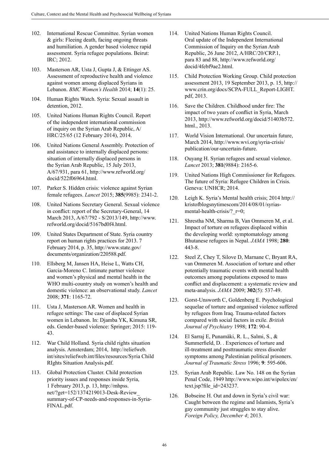- 102. International Rescue Committee. Syrian women & girls: Fleeing death, facing ongoing threats and humiliation. A gender based violence rapid assessment. Syria refugee populations. Beirut: IRC; 2012.
- 103. Masterson AR, Usta J, Gupta J, & Ettinger AS. Assessment of reproductive health and violence against women among displaced Syrians in Lebanon. *BMC Women's Health* 2014; **14**(1): 25.
- 104. Human Rights Watch. Syria: Sexual assault in detention, 2012.
- 105. United Nations Human Rights Council. Report of the independent international commission of inquiry on the Syrian Arab Republic, A/ HRC/25/65 (12 February 2014), 2014.
- 106. United Nations General Assembly. Protection of and assistance to internally displaced persons: situation of internally displaced persons in the Syrian Arab Republic, 15 July 2013, A/67/931, para 61, [http://www.refworld.org/](http://www.refworld.org/docid/522f06964.html.) [docid/522f06964.html.](http://www.refworld.org/docid/522f06964.html.)
- 107. Parker S. Hidden crisis: violence against Syrian female refugees. *Lancet* 2015; **385**(9985): 2341-2.
- 108. United Nations Secretary General. Sexual violence in conflict: report of the Secretary-General, 14 March 2013, A/67/792 - S/2013/149, [http://www.](http://www.refworld.org/docid/5167bd0f4.html) [refworld.org/docid/5167bd0f4.html](http://www.refworld.org/docid/5167bd0f4.html).
- 109. United States Department of State. Syria country report on human rights practices for 2013. 7 February 2014, p. 35, [http://www.state.gov/](http://www.state.gov/documents/organization/220588.pdf) [documents/organization/220588.pdf](http://www.state.gov/documents/organization/220588.pdf).
- 110. Ellsberg M, Jansen HA, Heise L, Watts CH, Garcia-Moreno C. Intimate partner violence and women's physical and mental health in the WHO multi-country study on women's health and domestic violence: an observational study. *Lancet* 2008; **371**: 1165-72.
- 111. Usta J, Masterson AR. Women and health in refugee settings: The case of displaced Syrian women in Lebanon. In: Djamba YK, Kimuna SR, eds. Gender-based violence: Springer; 2015: 119- 43.
- 112. War Child Holland. Syria child rights situation analysis. Amsterdam; 2014, [http://reliefweb.](http://reliefweb.int/sites/reliefweb.int/files/resources/Syria%20Child%20RIghts%20Situation%20Analysis.pdf.) [int/sites/reliefweb.int/files/resources/Syria Child](http://reliefweb.int/sites/reliefweb.int/files/resources/Syria%20Child%20RIghts%20Situation%20Analysis.pdf.)  [RIghts Situation Analysis.pdf.](http://reliefweb.int/sites/reliefweb.int/files/resources/Syria%20Child%20RIghts%20Situation%20Analysis.pdf.)
- 113. Global Protection Cluster. Child protection priority issues and responses inside Syria, 1 February 2013, p. 13, http://mhpss. net/?get=152/1374219013-Desk-Review\_ summary-of-CP-needs-and-responses-in-Syria-FINAL.pdf.
- 114. United Nations Human Rights Council. Oral update of the Independent International Commission of Inquiry on the Syrian Arab Republic, 26 June 2012, A/HRC/20/CRP.1, para 83 and 88, [http://www.refworld.org/](http://www.refworld.org/docid/4febf9ae2.html) [docid/4febf9ae2.html](http://www.refworld.org/docid/4febf9ae2.html).
- 115. Child Protection Working Group. Child protection assessment 2013, 19 September 2013, p. 15, [http://](http://www.crin.org/docs/SCPA-FULL_Report-LIGHT.pdf) [www.crin.org/docs/SCPA-FULL\\_Report-LIGHT.](http://www.crin.org/docs/SCPA-FULL_Report-LIGHT.pdf) [pdf,](http://www.crin.org/docs/SCPA-FULL_Report-LIGHT.pdf) 2013.
- 116. Save the Children. Childhood under fire: The impact of two years of conflict in Syria, March 2013, [http://www.refworld.org/docid/51403b572.](http://www.refworld.org/docid/51403b572.html.) [html.](http://www.refworld.org/docid/51403b572.html.), 2013.
- 117. World Vision International. Our uncertain future, March 2014, [http://www.wvi.org/syria-crisis/](http://www.wvi.org/syria-crisis/publication/our-uncertain-future.) [publication/our-uncertain-future.](http://www.wvi.org/syria-crisis/publication/our-uncertain-future.)
- 118. Ouyang H. Syrian refugees and sexual violence. *Lancet* 2013; **381**(9884): 2165-6.
- 119. United Nations High Commissioner for Refugees. The future of Syria: Refugee Children in Crisis. Geneva: UNHCR; 2014.
- 120. Leigh K. Syria's Mental health crisis; 2014 [http://](http://kristofblogsnytimescom/2014/08/01/syrias-mental-health-crisis/?_r=0;) [kristofblogsnytimescom/2014/08/01/syrias](http://kristofblogsnytimescom/2014/08/01/syrias-mental-health-crisis/?_r=0;)mental-health-crisis/? r=0;
- 121. Shrestha NM, Sharma B, Van Ommeren M, et al. Impact of torture on refugees displaced within the developing world: symptomatology among Bhutanese refugees in Nepal. *JAMA* 1998; **280**: 443-8.
- 122. Steel Z, Chey T, Silove D, Marnane C, Bryant RA, van Ommeren M. Association of torture and other potentially traumatic events with mental health outcomes among populations exposed to mass conflict and displacement: a systematic review and meta-analysis. *JAMA* 2009; **302**(5): 537-49.
- 123. Gorst-Unsworth C, Goldenberg E. Psychological sequelae of torture and organised violence suffered by refugees from Iraq. Trauma-related factors compared with social factors in exile. *British Journal of Psychiatry* 1998; **172**: 90-4.
- 124. El Sarraj E, Punamäki, R. L., Salmi, S., & Summerfield, D. . Experiences of torture and ill-treatment and posttraumatic stress disorder symptoms among Palestinian political prisoners. *Journal of Traumatic Stress* 1996; **9**: 595-606.
- 125. Syrian Arab Republic. Law No. 148 on the Syrian Penal Code, 1949 [http://www.wipo.int/wipolex/en/](http://www.wipo.int/wipolex/en/text.jsp?file_id=243237.) [text.jsp?file\\_id=243237.](http://www.wipo.int/wipolex/en/text.jsp?file_id=243237.)
- 126. Bobseine H. Out and down in Syria's civil war: Caught between the regime and Islamists, Syria's gay community just struggles to stay alive. *Foreign Policy, December 4*; 2013.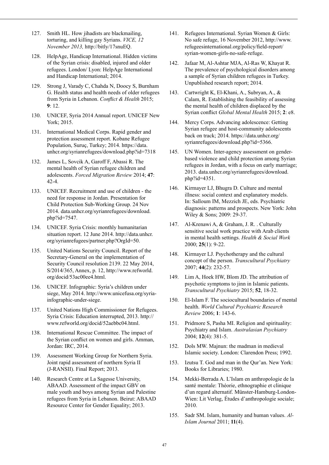- 127. Smith HL. How jihadists are blackmailing, torturing, and killing gay Syrians. *VICE, 12 November 2013,* [http://bitly/17snuEQ.](http://bitly/17snuEQ)
- 128. HelpAge, Handicap International. Hidden victims of the Syrian crisis: disabled, injured and older refugees. London/ Lyon: HelpAge International and Handicap International; 2014.
- 129. Strong J, Varady C, Chahda N, Doocy S, Burnham G. Health status and health needs of older refugees from Syria in Lebanon. *Conflict & Health* 2015; **9**: 12.
- 130. UNICEF, Syria 2014 Annual report. UNICEF New York; 2015.
- 131. International Medical Corps. Rapid gender and protection assessment report. Kobane Refugee Population, Suruç, Turkey; 2014. [https://data.](https://data.unhcr.org/syrianrefugees/download.php?id=7318) [unhcr.org/syrianrefugees/download.php?id=7318](https://data.unhcr.org/syrianrefugees/download.php?id=7318)
- 132. James L, Sovcik A, Garoff F, Abassi R. The mental health of Syrian refugee children and adolescents. *Forced Migration Review* 2014; **47**: 42-4.
- 133. UNICEF. Recruitment and use of children the need for response in Jordan. Presentation for Child Protection Sub-Working Group. 24 Nov 2014. data.unhcr.org/syrianrefugees/download. php?id=7547.
- 134. UNICEF. Syria Crisis: monthly humanitarian situation report. 12 June 2014. [http://data.unhcr.](http://data.unhcr.org/syrianrefugees/partner.php?OrgId=50) [org/syrianrefugees/partner.php?OrgId=50](http://data.unhcr.org/syrianrefugees/partner.php?OrgId=50).
- 135. United Nations Security Council. Report of the Secretary-General on the implementation of Security Council resolution 2139. 22 May 2014, S/2014/365, Annex, p. 12, [http://www.refworld.](http://www.refworld.org/docid/53ac00ee4.html) [org/docid/53ac00ee4.html.](http://www.refworld.org/docid/53ac00ee4.html)
- 136. UNICEF. Infographic: Syria's children under siege, May 2014. [http://www.unicefusa.org/syria](http://www.unicefusa.org/syria-infographic-under-siege)[infographic-under-siege.](http://www.unicefusa.org/syria-infographic-under-siege)
- 137. United Nations High Commissioner for Refugees. Syria Crisis: Education interrupted, 2013. [http://](http://www.refworld.org/docid/52aebbc04.html) [www.refworld.org/docid/52aebbc04.html.](http://www.refworld.org/docid/52aebbc04.html)
- 138. International Rescue Committee. The impact of the Syrian conflict on women and girls. Amman, Jordan: IRC, 2014.
- 139. Assessment Working Group for Northern Syria. Joint rapid assessment of northern Syria II (J-RANSII). Final Report; 2013.
- 140. Research Centre at La Sagesse University, ABAAD. Assessment of the impact GBV on male youth and boys among Syrian and Palestine refugees from Syria in Lebanon. Beirut: ABAAD Resource Center for Gender Equality; 2013.
- 141. Refugees International. Syrian Women & Girls: No safe refuge, 16 November 2012, [http://www.](http://www.refugeesinternational.org/policy/field-report/syrian-women-girls-no-safe-refuge) [refugeesinternational.org/policy/field-report/](http://www.refugeesinternational.org/policy/field-report/syrian-women-girls-no-safe-refuge) [syrian-women-girls-no-safe-refuge](http://www.refugeesinternational.org/policy/field-report/syrian-women-girls-no-safe-refuge).
- 142. Jafaar M, Al-Ashtar MJA, Al-Ras W, Khayat R. The prevalence of psychological disorders among a sample of Syrian children refugees in Turkey. Unpublished research report; 2014.
- 143. Cartwright K, El-Khani, A., Subryan, A., & Calam, R. Establishing the feasibility of assessing the mental health of children displaced by the Syrian conflict *Global Mental Health* 2015; **2**: e8.
- 144. Mercy Corps. Advancing adolescence: Getting Syrian refugee and host-community adolescents back on track; 2014. [https://data.unhcr.org/](https://data.unhcr.org/syrianrefugees/download.php?id=5366) [syrianrefugees/download.php?id=5366](https://data.unhcr.org/syrianrefugees/download.php?id=5366).
- 145. UN Women. Inter-agency assessment on genderbased violence and child protection among Syrian refugees in Jordan, with a focus on early marriage; 2013. data.unhcr.org/syrianrefugees/download. php?id=4351.
- 146. Kirmayer LJ, Bhugra D. Culture and mental illness: social context and explanatory models. In: Salloum IM, Mezzich JE, eds. Psychiatric diagnosis: patterns and prospects. New York: John Wiley & Sons; 2009: 29-37.
- 147. Al-Krenawi A, & Graham, J. R. . Culturally sensitive social work practice with Arab clients in mental health settings. *Health & Social Work* 2000; **25**(1): 9-22.
- 148. Kirmayer LJ. Psychotherapy and the cultural concept of the person. *Transcultural Psychiatry* 2007; **44**(2): 232-57.
- 149. Lim A, Hoek HW, Blom JD. The attribution of psychotic symptoms to jinn in Islamic patients. *Transcultural Psychiatry* 2015; **52**, 18-32.
- 150. El-Islam F. The sociocultural boundaries of mental health. *World Cultural Psychiatric Research Review* 2006; **1**: 143-6.
- 151. Pridmore S, Pasha MI. Religion and spirituality: Psychiatry and Islam. *Australasian Psychiatry* 2004; **12**(4): 381-5.
- 152. Dols MW. Majnun: the madman in medieval Islamic society. London: Clarendon Press; 1992.
- 153. Izutsu T. God and man in the Qur'an. New York: Books for Libraries; 1980.
- 154. Mekki-Berrada A. L'Islam en anthropologie de la santé mentale: Théorie, ethnographie et clinique d'un regard alternatif. Münster-Hamburg-London-Wien: Lit Verlag, Études d'anthropologie sociale; 2010.
- 155. Sadr SM. Islam, humanity and human values. *Al-Islam Journal* 2011; **11**(4).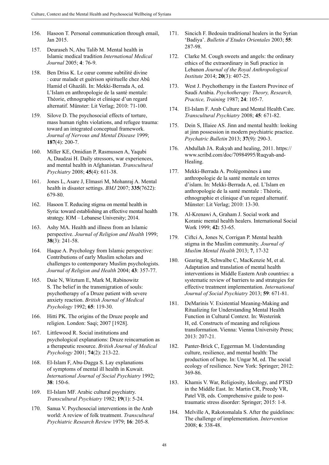- 156. Hasoon T. Personal communication through email, Jan 2015.
- 157. Deuraseh N, Abu Talib M. Mental health in Islamic medical tradition *International Medical Journal* 2005; **4**: 76-9.
- 158. Ben Driss K. Le cœur comme subtilité divine : cœur malade et guérison spirituelle chez Abû Hamid el Ghazâli. In: Mekki-Berrada A, ed. L'Islam en anthropologie de la santé mentale: Théorie, ethnographie et clinique d'un regard alternatif. Münster: Lit Verlag; 2010: 71-100.
- 159. Silove D. The psychosocial effects of torture, mass human rights violations, and refugee trauma: toward an integrated conceptual framework. *Journal of Nervous and Mental Disease* 1999; **187**(4): 200-7.
- 160. Miller KE, Omidian P, Rasmussen A, Yaqubi A, Daudzai H. Daily stressors, war experiences, and mental health in Afghanistan. *Transcultural Psychiatry* 2008; **45**(4): 611-38.
- 161. Jones L, Asare J, Elmasri M, Mohanraj A. Mental health in disaster settings. *BMJ* 2007; **335**(7622): 679-80.
- 162. Hasoon T. Reducing stigma on mental health in Syria: toward establishing an effective mental health strategy. IOM – Lebanese University; 2014.
- 163. Ashy MA. Health and illness from an Islamic perspective. *Journal of Religion and Health* 1999; **38**(3): 241-58.
- 164. Haque A. Psychology from Islamic perspective: Contributions of early Muslim scholars and challenges to contemporary Muslim psychologists. *Journal of Religion and Health* 2004; **43**: 357-77.
- 165. Daie N, Witztum E, Mark M, Rabinowitz S. The belief in the transmigration of souls: psychotherapy of a Druze patient with severe anxiety reaction. *British Journal of Medical Psychology* 1992; **65**: 119-30.
- 166. Hitti PK. The origins of the Druze people and religion. London: Saqi; 2007 [1928].
- 167. Littlewood R. Social institutions and psychological explanations: Druze reincarnation as a therapeutic resource. *British Journal of Medical Psychology* 2001; **74**(2): 213-22.
- 168. El-Islam F, Abu-Dagga S. Lay explanations of symptoms of mental ill health in Kuwait. *International Journal of Social Psychiatry* 1992; **38**: 150-6.
- 169. El-Islam MF. Arabic cultural psychiatry. *Transcultural Psychiatry* 1982; **19**(1): 5-24.
- 170. Sanua V. Psychosocial interventions in the Arab world: A review of folk treatment. *Transcultural Psychiatric Research Review* 1979; **16**: 205-8.
- 171. Sincich F. Bedouin traditional healers in the Syrian 'Badiya'. *Bulletin d'Etudes Orientales* 2003; **55**: 287-98.
- 172. Clarke M. Cough sweets and angels: the ordinary ethics of the extraordinary in Sufi practice in Lebanon *Journal of the Royal Anthropological Institute* 2014; **20**(3): 407-25.
- 173. West J. Psychotherapy in the Eastern Province of Saudi Arabia. *Psychotherapy: Theory, Research, Practice, Training* 1987; **24**: 105-7.
- 174. El-Islam F. Arab Culture and Mental Health Care. *Transcultural Psychiatry* 2008; **45**: 671-82.
- 175. Dein S, Illaiee AS. Jinn and mental health: looking at jinn possession in modern psychiatric practice. *Psychatric Bulletin* 2013; **37**(9): 290-3.
- 176. Abdullah JA. Rukyah and healing, 2011. https:// www.scribd.com/doc/70984995/Ruqyah-and-Healing.
- 177. Mekki-Berrada A. Prolégomènes à une anthropologie de la santé mentale en terres d'islam. In: Mekki-Berrada A, ed. L'Islam en anthropologie de la santé mentale : Théorie, ethnographie et clinique d'un regard alternatif. Münster: Lit Verlag; 2010: 13-30.
- 178. Al-Krenawi A, Graham J. Social work and Koranic mental health healers. International Social Work 1999; **42:** 53-65.
- 179. Ciftci A, Jones N, Corrigan P. Mental health stigma in the Muslim community. *Journal of Muslim Mental Health* 2013; **7**, 17-32
- 180. Gearing R, Schwalbe C, MacKenzie M, et al. Adaptation and translation of mental health interventions in Middle Eastern Arab countries: a systematic review of barriers to and strategies for effective treatment implementation. *International Journal of Social Psychiatry* 2013; **59**: 671-81.
- 181. DeMarinis V. Existential Meaning-Making and Ritualizing for Understanding Mental Health Function in Cultural Context. In: Westerink H, ed. Constructs of meaning and religious transformation. Vienna: Vienna University Press; 2013: 207-21.
- 182. Panter-Brick C, Eggerman M. Understanding culture, resilience, and mental health: The production of hope. In: Ungar M, ed. The social ecology of resilience. New York: Springer; 2012: 369-86.
- 183. Khamis V. War, Religiosity, Ideology, and PTSD in the Middle East. In: Martin CR, Preedy VR, Patel VB, eds. Comprehensive guide to posttraumatic stress disorder: Springer; 2015: 1-8.
- 184. Melville A, Rakotomalala S. After the guidelines: The challenge of implementation. *Intervention* 2008; **6**: 338-48.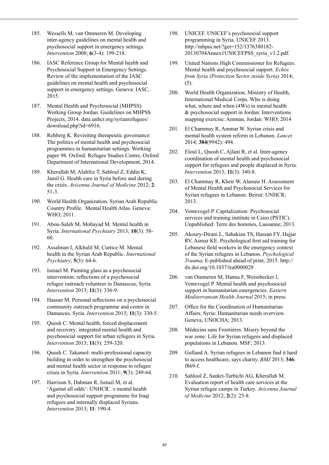- 185. Wessells M, van Ommeren M. Developing inter-agency guidelines on mental health and psychosocial support in emergency settings. *Intervention* 2008; **6**(3-4): 199-218.
- 186. IASC Reference Group for Mental health and Psychosocial Support in Emergency Settings. Review of the implementation of the IASC guidelines on mental health and psychosocial support in emergency settings. Geneva: IASC, 2015.
- 187. Mental Health and Psychosocial (MHPSS) Working Group Jordan. Guidelines on MHPSS Projects, 2014. data.unhcr.org/syrianrefugees/ download.php?id=6916.
- 188. Rehberg K. Revisiting therapeutic governance: The politics of mental health and psychosocial programmes in humanitarian settings. Working paper 98. Oxford: Refugee Studies Centre, Oxford Department of International Development, 2014.
- 189. Kherallah M, Alahfez T, Sahloul Z, Eddin K, Jamil G. Health care in Syria before and during the crisis. *Avicenna Journal of Medicine* 2012; **2**: 51-3.
- 190. World Health Organization. Syrian Arab Republic Country Profile. Mental Health Atlas. Geneva: WHO; 2011.
- 191. Abou-Saleh M, Mobayad M. Mental health in Syria. *International Psychiatry* 2013; **10**(3): 58- 60.
- 192. Assalman I, Alkhalil M, Curtice M. Mental health in the Syrian Arab Republic. *International Psychiatry*; **5**(3): 64-6.
- 193. Ismael M. Painting glass as a psychosocial intervention: reflections of a psychosocial refugee outreach volunteer in Damascus, Syria. *Intervention* 2013; **11**(3): 336-9.
- 194. Hassan M. Personal reflections on a psychosocial community outreach programme and centre in Damascus, Syria. *Intervention* 2013; **11**(3): 330-5.
- 195. Quosh C. Mental health, forced displacement and recovery: integrated mental health and psychosocial support for urban refugees in Syria. *Intervention* 2013; **11**(3): 259-320.
- 196. Quosh C. Takamol: multi-professional capacity building in order to strengthen the psychosocial and mental health sector in response to refugee crises in Syria. *Intervention* 2011; **9**(3): 249-64.
- 197. Harrison S, Dahman R, Ismail M, et al. 'Against all odds': UNHCR $\square$ s mental health and psychosocial support programme for Iraqi refugees and internally displaced Syrians. *Intervention* 2013; **11**: 190-4.
- 198. UNICEF. UNICEF's psychosocial support programming in Syria. UNICEF 2013. [http://mhpss.net/?get=152/1376380182-](http://mhpss.net/?get=152/1376380182-20130704Annex1UNICEFPSS_syria_v3.2.pdf) [20130704Annex1UNICEFPSS\\_syria\\_v3.2.pdf.](http://mhpss.net/?get=152/1376380182-20130704Annex1UNICEFPSS_syria_v3.2.pdf)
- 199. United Nations High Commissioner for Refugees. Mental health and psychosocial support. *Echos from Syria (Protection Sector inside Syria)* 2014; (5).
- 200. World Health Organization, Ministry of Health, International Medical Corps. Who is doing what, where and when (4Ws) in mental health & psychosocial support in Jordan: Interventions mapping exercise. Amman, Jordan: WHO; 2014
- 201. El Chammay R, Ammar W. Syrian crisis and mental health system reform in Lebanon. *Lancet* 2014; **384**(9942): 494.
- 202. Eloul L, Quosh C, Ajlani R, et al. Inter-agency coordination of mental health and psychosocial support for refugees and people displaced in Syria. *Intervention* 2013; **11**(3): 340-8.
- 203. El Chammay R, Kheir W, Alaouie H. Assessment of Mental Health and Psychosocial Services for Syrian refugees in Lebanon. Beirut: UNHCR; 2013.
- 204. Ventevogel P. Capitalization: Psychosocial services and training institute in Cairo (PSTIC). Unpublished: Terre des hommes, Lausanne; 2013.
- 205. Akoury-Dirani L, Sahakian TS, Hassan FY, Hajjar RV, Asmar KE. Psychological first aid training for Lebanese field workers in the emergency context of the Syrian refugees in Lebanon. *Psychological Trauma*; E-published ahead of print, 2015. [http://](http://dx.doi.org/10.1037/tra0000028) [dx.doi.org/10.1037/tra0000028](http://dx.doi.org/10.1037/tra0000028)
- 206. van Ommeren M, Hanna F, Weissbecker I, Ventevogel P. Mental health and psychosocial support in humanitarian emergencies. *Eastern Mediterranean Health Journal* 2015; in press.
- 207. Office for the Coordination of Humanitarian Affairs. Syria: Humanitarian needs overview. Geneva, UNOCHA; 2013.
- 208. Médecins sans Frontières. Misery beyond the war zone: Life for Syrian refugees and displaced populations in Lebanon. MSF; 2013.
- 209. Gulland A. Syrian refugees in Lebanon find it hard to access healthcare, says charity. *BMJ* 2013; **346**: f869-f.
- 210. Sahlool Z, Sankri-Tarbichi AG, Kherallah M. Evaluation report of health care services at the Syrian refugee camps in Turkey. *Avicenna Journal of Medicine* 2012; **2**(2): 25-8.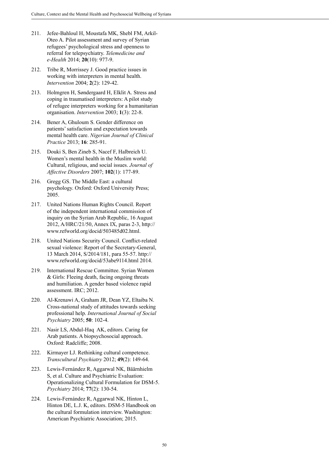- 211. Jefee-Bahloul H, Moustafa MK, Shebl FM, Arkil-Oteo A. Pilot assessment and survey of Syrian refugees' psychological stress and openness to referral for telepsychiatry. *Telemedicine and e-Health* 2014; **20**(10): 977-9.
- 212. Tribe R, Morrissey J. Good practice issues in working with interpreters in mental health. *Intervention* 2004; **2**(2): 129-42.
- 213. Holmgren H, Søndergaard H, Elklit A. Stress and coping in traumatised interpreters: A pilot study of refugee interpreters working for a humanitarian organisation. *Intervention* 2003; **1**(3): 22-8.
- 214. Bener A, Ghuloum S. Gender difference on patients' satisfaction and expectation towards mental health care. *Nigerian Journal of Clinical Practice* 2013; **16**: 285-91.
- 215. Douki S, Ben Zineb S, Nacef F, Halbreich U. Women's mental health in the Muslim world: Cultural, religious, and social issues. *Journal of Affective Disorders* 2007; **102**(1): 177-89.
- 216. Gregg GS. The Middle East: a cultural psychology. Oxford: Oxford University Press; 2005.
- 217. United Nations Human Rights Council. Report of the independent international commission of inquiry on the Syrian Arab Republic, 16 August 2012, A/HRC/21/50, Annex IX, paras 2-3, [http://](http://www.refworld.org/docid/503485d02.html) [www.refworld.org/docid/503485d02.html](http://www.refworld.org/docid/503485d02.html).
- 218. United Nations Security Council. Conflict-related sexual violence: Report of the Secretary-General, 13 March 2014, S/2014/181, para 55-57. [http://](http://www.refworld.org/docid/53abe9114.html) [www.refworld.org/docid/53abe9114.html](http://www.refworld.org/docid/53abe9114.html) 2014.
- 219. International Rescue Committee. Syrian Women & Girls: Fleeing death, facing ongoing threats and humiliation. A gender based violence rapid assessment. IRC; 2012.
- 220. Al-Krenawi A, Graham JR, Dean YZ, Eltaiba N. Cross-national study of attitudes towards seeking professional help. *International Journal of Social Psychiatry* 2005; **50**: 102-4.
- 221. Nasir LS, Abdul-Haq AK, editors. Caring for Arab patients. A biopsychosocial approach. Oxford: Radcliffe; 2008.
- 222. Kirmayer LJ. Rethinking cultural competence. *Transcultural Psychiatry* 2012; **49**(2): 149-64.
- 223. Lewis-Fernández R, Aggarwal NK, Bäärnhielm S, et al. Culture and Psychiatric Evaluation: Operationalizing Cultural Formulation for DSM-5. *Psychiatry* 2014; **77**(2): 130-54.
- 224. Lewis-Fernández R, Aggarwal NK, Hinton L, Hinton DE, L.J. K, editors. DSM-5 Handbook on the cultural formulation interview. Washington: American Psychiatric Association; 2015.